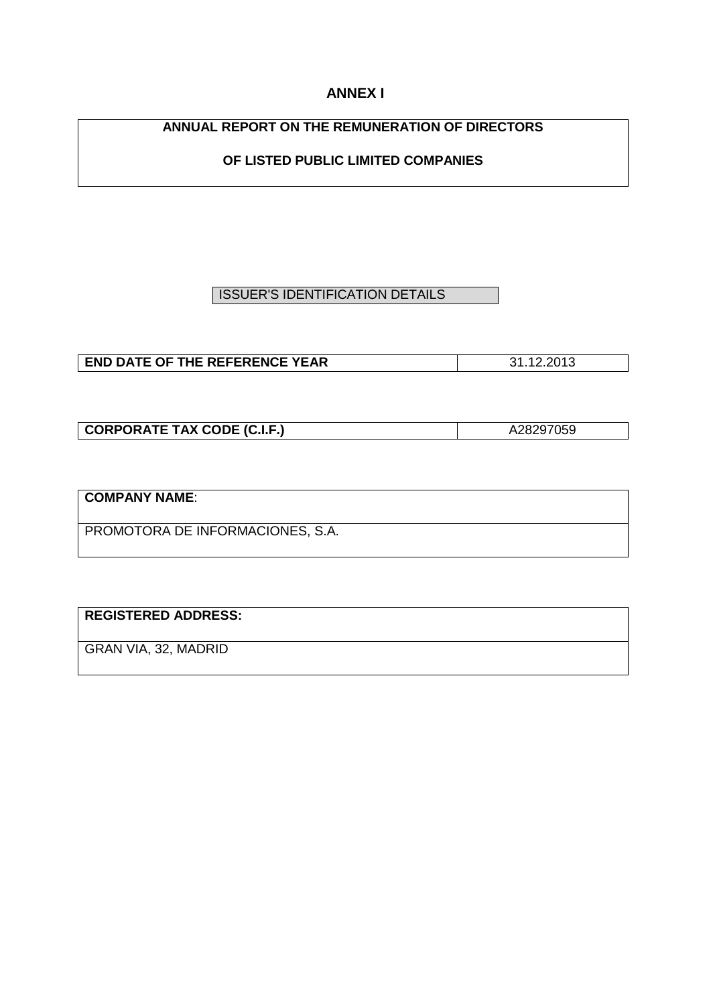# **ANNEX I**

# **ANNUAL REPORT ON THE REMUNERATION OF DIRECTORS**

# **OF LISTED PUBLIC LIMITED COMPANIES**

# ISSUER'S IDENTIFICATION DETAILS

| <b>END DATE OF THE REFERENCE YEAR</b> | ററ⊀റ |
|---------------------------------------|------|

| <b>CORPORATE TAX CODE (C.I.F.)</b> | A28297059 |
|------------------------------------|-----------|

| COMPANY NAME:                    |  |
|----------------------------------|--|
| PROMOTORA DE INFORMACIONES, S.A. |  |

# **REGISTERED ADDRESS:**

GRAN VIA, 32, MADRID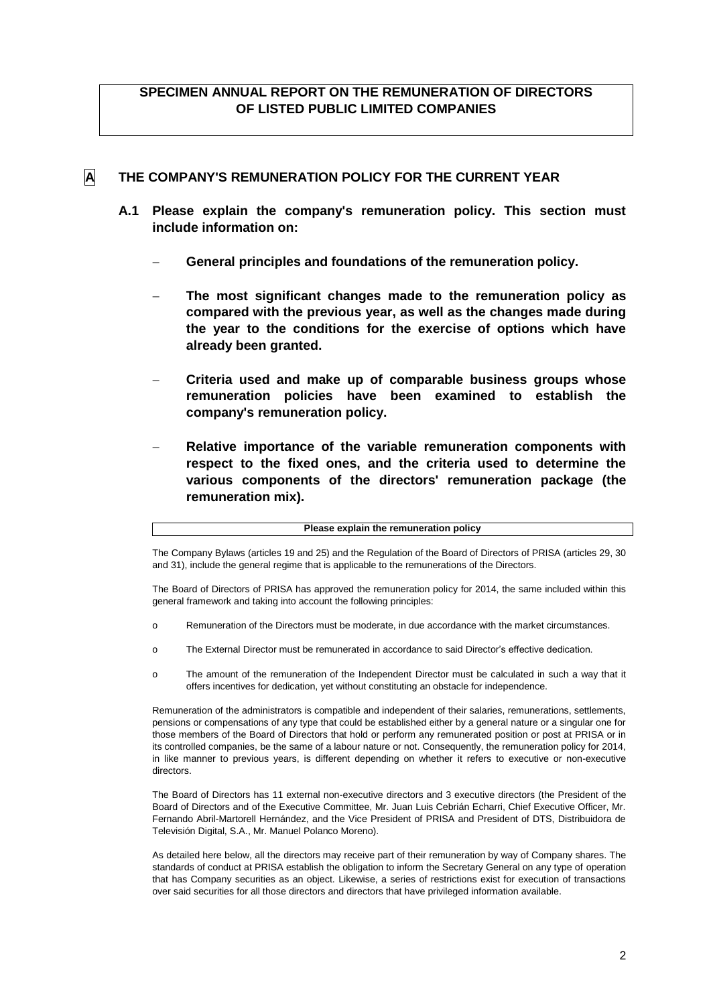## **SPECIMEN ANNUAL REPORT ON THE REMUNERATION OF DIRECTORS OF LISTED PUBLIC LIMITED COMPANIES**

## **A THE COMPANY'S REMUNERATION POLICY FOR THE CURRENT YEAR**

- **A.1 Please explain the company's remuneration policy. This section must include information on:**
	- **General principles and foundations of the remuneration policy.**
	- **The most significant changes made to the remuneration policy as compared with the previous year, as well as the changes made during the year to the conditions for the exercise of options which have already been granted.**
	- **Criteria used and make up of comparable business groups whose remuneration policies have been examined to establish the company's remuneration policy.**
	- **Relative importance of the variable remuneration components with respect to the fixed ones, and the criteria used to determine the various components of the directors' remuneration package (the remuneration mix).**

#### **Please explain the remuneration policy**

The Company Bylaws (articles 19 and 25) and the Regulation of the Board of Directors of PRISA (articles 29, 30 and 31), include the general regime that is applicable to the remunerations of the Directors.

The Board of Directors of PRISA has approved the remuneration policy for 2014, the same included within this general framework and taking into account the following principles:

- o Remuneration of the Directors must be moderate, in due accordance with the market circumstances.
- o The External Director must be remunerated in accordance to said Director's effective dedication.
- o The amount of the remuneration of the Independent Director must be calculated in such a way that it offers incentives for dedication, yet without constituting an obstacle for independence.

Remuneration of the administrators is compatible and independent of their salaries, remunerations, settlements, pensions or compensations of any type that could be established either by a general nature or a singular one for those members of the Board of Directors that hold or perform any remunerated position or post at PRISA or in its controlled companies, be the same of a labour nature or not. Consequently, the remuneration policy for 2014, in like manner to previous years, is different depending on whether it refers to executive or non-executive directors.

The Board of Directors has 11 external non-executive directors and 3 executive directors (the President of the Board of Directors and of the Executive Committee, Mr. Juan Luis Cebrián Echarri, Chief Executive Officer, Mr. Fernando Abril-Martorell Hernández, and the Vice President of PRISA and President of DTS, Distribuidora de Televisión Digital, S.A., Mr. Manuel Polanco Moreno).

As detailed here below, all the directors may receive part of their remuneration by way of Company shares. The standards of conduct at PRISA establish the obligation to inform the Secretary General on any type of operation that has Company securities as an object. Likewise, a series of restrictions exist for execution of transactions over said securities for all those directors and directors that have privileged information available.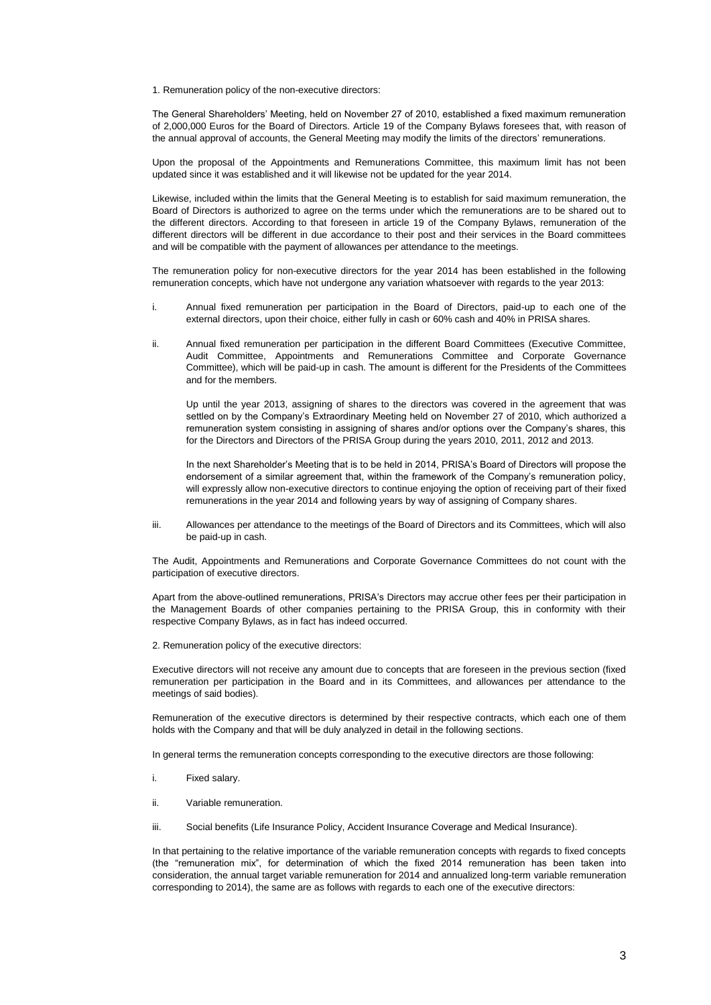1. Remuneration policy of the non-executive directors:

The General Shareholders' Meeting, held on November 27 of 2010, established a fixed maximum remuneration of 2,000,000 Euros for the Board of Directors. Article 19 of the Company Bylaws foresees that, with reason of the annual approval of accounts, the General Meeting may modify the limits of the directors' remunerations.

Upon the proposal of the Appointments and Remunerations Committee, this maximum limit has not been updated since it was established and it will likewise not be updated for the year 2014.

Likewise, included within the limits that the General Meeting is to establish for said maximum remuneration, the Board of Directors is authorized to agree on the terms under which the remunerations are to be shared out to the different directors. According to that foreseen in article 19 of the Company Bylaws, remuneration of the different directors will be different in due accordance to their post and their services in the Board committees and will be compatible with the payment of allowances per attendance to the meetings.

The remuneration policy for non-executive directors for the year 2014 has been established in the following remuneration concepts, which have not undergone any variation whatsoever with regards to the year 2013:

- i. Annual fixed remuneration per participation in the Board of Directors, paid-up to each one of the external directors, upon their choice, either fully in cash or 60% cash and 40% in PRISA shares.
- ii. Annual fixed remuneration per participation in the different Board Committees (Executive Committee, Audit Committee, Appointments and Remunerations Committee and Corporate Governance Committee), which will be paid-up in cash. The amount is different for the Presidents of the Committees and for the members.

Up until the year 2013, assigning of shares to the directors was covered in the agreement that was settled on by the Company's Extraordinary Meeting held on November 27 of 2010, which authorized a remuneration system consisting in assigning of shares and/or options over the Company's shares, this for the Directors and Directors of the PRISA Group during the years 2010, 2011, 2012 and 2013.

In the next Shareholder's Meeting that is to be held in 2014, PRISA's Board of Directors will propose the endorsement of a similar agreement that, within the framework of the Company's remuneration policy, will expressly allow non-executive directors to continue enjoying the option of receiving part of their fixed remunerations in the year 2014 and following years by way of assigning of Company shares.

iii. Allowances per attendance to the meetings of the Board of Directors and its Committees, which will also be paid-up in cash.

The Audit, Appointments and Remunerations and Corporate Governance Committees do not count with the participation of executive directors.

Apart from the above-outlined remunerations, PRISA's Directors may accrue other fees per their participation in the Management Boards of other companies pertaining to the PRISA Group, this in conformity with their respective Company Bylaws, as in fact has indeed occurred.

2. Remuneration policy of the executive directors:

Executive directors will not receive any amount due to concepts that are foreseen in the previous section (fixed remuneration per participation in the Board and in its Committees, and allowances per attendance to the meetings of said bodies).

Remuneration of the executive directors is determined by their respective contracts, which each one of them holds with the Company and that will be duly analyzed in detail in the following sections.

In general terms the remuneration concepts corresponding to the executive directors are those following:

- i. Fixed salary.
- ii. Variable remuneration.
- iii. Social benefits (Life Insurance Policy, Accident Insurance Coverage and Medical Insurance).

In that pertaining to the relative importance of the variable remuneration concepts with regards to fixed concepts (the "remuneration mix", for determination of which the fixed 2014 remuneration has been taken into consideration, the annual target variable remuneration for 2014 and annualized long-term variable remuneration corresponding to 2014), the same are as follows with regards to each one of the executive directors: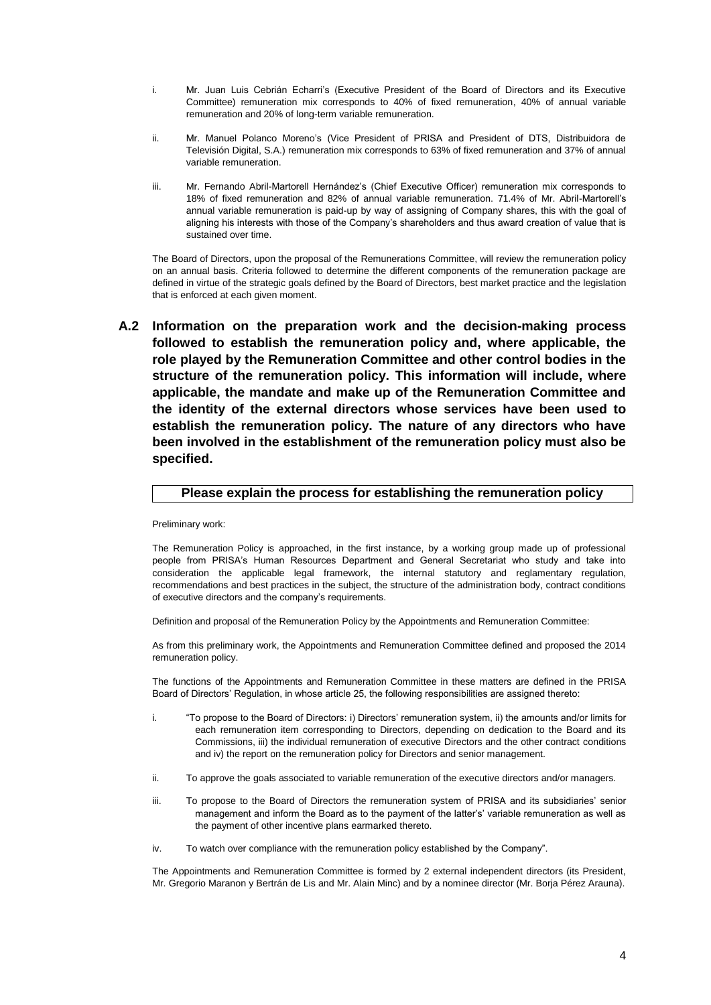- i. Mr. Juan Luis Cebrián Echarri's (Executive President of the Board of Directors and its Executive Committee) remuneration mix corresponds to 40% of fixed remuneration, 40% of annual variable remuneration and 20% of long-term variable remuneration.
- ii. Mr. Manuel Polanco Moreno's (Vice President of PRISA and President of DTS, Distribuidora de Televisión Digital, S.A.) remuneration mix corresponds to 63% of fixed remuneration and 37% of annual variable remuneration.
- iii. Mr. Fernando Abril-Martorell Hernández's (Chief Executive Officer) remuneration mix corresponds to 18% of fixed remuneration and 82% of annual variable remuneration. 71.4% of Mr. Abril-Martorell's annual variable remuneration is paid-up by way of assigning of Company shares, this with the goal of aligning his interests with those of the Company's shareholders and thus award creation of value that is sustained over time.

The Board of Directors, upon the proposal of the Remunerations Committee, will review the remuneration policy on an annual basis. Criteria followed to determine the different components of the remuneration package are defined in virtue of the strategic goals defined by the Board of Directors, best market practice and the legislation that is enforced at each given moment.

**A.2 Information on the preparation work and the decision-making process followed to establish the remuneration policy and, where applicable, the role played by the Remuneration Committee and other control bodies in the structure of the remuneration policy. This information will include, where applicable, the mandate and make up of the Remuneration Committee and the identity of the external directors whose services have been used to establish the remuneration policy. The nature of any directors who have been involved in the establishment of the remuneration policy must also be specified.**

#### **Please explain the process for establishing the remuneration policy**

Preliminary work:

The Remuneration Policy is approached, in the first instance, by a working group made up of professional people from PRISA's Human Resources Department and General Secretariat who study and take into consideration the applicable legal framework, the internal statutory and reglamentary regulation, recommendations and best practices in the subject, the structure of the administration body, contract conditions of executive directors and the company's requirements.

Definition and proposal of the Remuneration Policy by the Appointments and Remuneration Committee:

As from this preliminary work, the Appointments and Remuneration Committee defined and proposed the 2014 remuneration policy.

The functions of the Appointments and Remuneration Committee in these matters are defined in the PRISA Board of Directors' Regulation, in whose article 25, the following responsibilities are assigned thereto:

- i. "To propose to the Board of Directors: i) Directors' remuneration system, ii) the amounts and/or limits for each remuneration item corresponding to Directors, depending on dedication to the Board and its Commissions, iii) the individual remuneration of executive Directors and the other contract conditions and iv) the report on the remuneration policy for Directors and senior management.
- ii. To approve the goals associated to variable remuneration of the executive directors and/or managers.
- iii. To propose to the Board of Directors the remuneration system of PRISA and its subsidiaries' senior management and inform the Board as to the payment of the latter's' variable remuneration as well as the payment of other incentive plans earmarked thereto.
- iv. To watch over compliance with the remuneration policy established by the Company".

The Appointments and Remuneration Committee is formed by 2 external independent directors (its President, Mr. Gregorio Maranon y Bertrán de Lis and Mr. Alain Minc) and by a nominee director (Mr. Borja Pérez Arauna).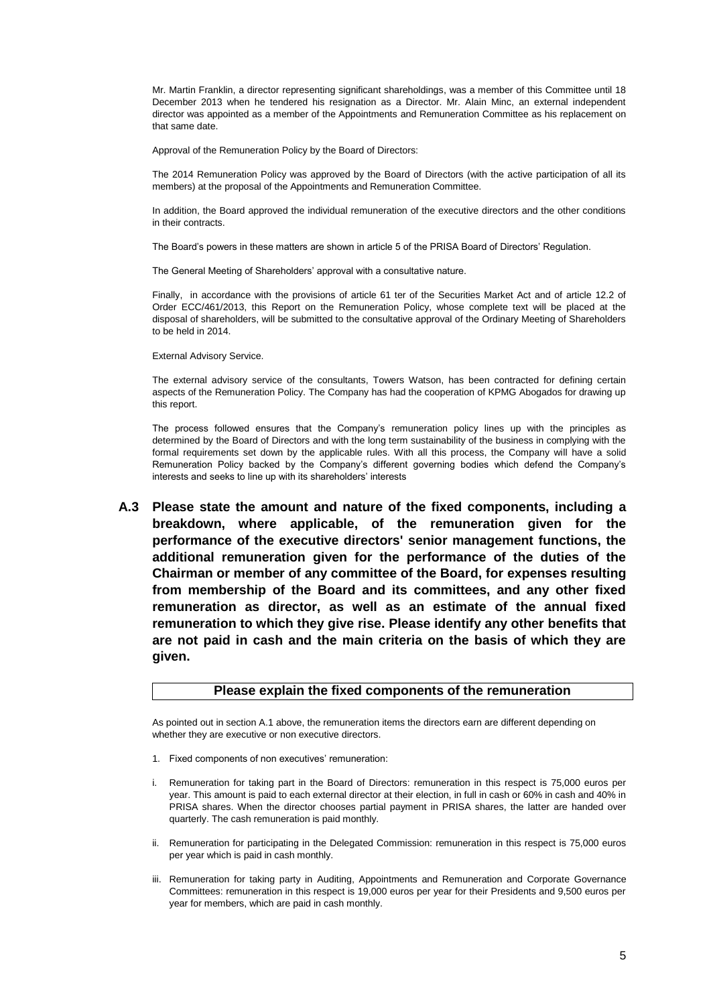Mr. Martin Franklin, a director representing significant shareholdings, was a member of this Committee until 18 December 2013 when he tendered his resignation as a Director. Mr. Alain Minc, an external independent director was appointed as a member of the Appointments and Remuneration Committee as his replacement on that same date.

Approval of the Remuneration Policy by the Board of Directors:

The 2014 Remuneration Policy was approved by the Board of Directors (with the active participation of all its members) at the proposal of the Appointments and Remuneration Committee.

In addition, the Board approved the individual remuneration of the executive directors and the other conditions in their contracts.

The Board's powers in these matters are shown in article 5 of the PRISA Board of Directors' Regulation.

The General Meeting of Shareholders' approval with a consultative nature.

Finally, in accordance with the provisions of article 61 ter of the Securities Market Act and of article 12.2 of Order ECC/461/2013, this Report on the Remuneration Policy, whose complete text will be placed at the disposal of shareholders, will be submitted to the consultative approval of the Ordinary Meeting of Shareholders to be held in 2014.

External Advisory Service.

The external advisory service of the consultants, Towers Watson, has been contracted for defining certain aspects of the Remuneration Policy. The Company has had the cooperation of KPMG Abogados for drawing up this report.

The process followed ensures that the Company's remuneration policy lines up with the principles as determined by the Board of Directors and with the long term sustainability of the business in complying with the formal requirements set down by the applicable rules. With all this process, the Company will have a solid Remuneration Policy backed by the Company's different governing bodies which defend the Company's interests and seeks to line up with its shareholders' interests

**A.3 Please state the amount and nature of the fixed components, including a breakdown, where applicable, of the remuneration given for the performance of the executive directors' senior management functions, the additional remuneration given for the performance of the duties of the Chairman or member of any committee of the Board, for expenses resulting from membership of the Board and its committees, and any other fixed remuneration as director, as well as an estimate of the annual fixed remuneration to which they give rise. Please identify any other benefits that are not paid in cash and the main criteria on the basis of which they are given.**

#### **Please explain the fixed components of the remuneration**

As pointed out in section A.1 above, the remuneration items the directors earn are different depending on whether they are executive or non executive directors.

- 1. Fixed components of non executives' remuneration:
- i. Remuneration for taking part in the Board of Directors: remuneration in this respect is 75,000 euros per year. This amount is paid to each external director at their election, in full in cash or 60% in cash and 40% in PRISA shares. When the director chooses partial payment in PRISA shares, the latter are handed over quarterly. The cash remuneration is paid monthly.
- ii. Remuneration for participating in the Delegated Commission: remuneration in this respect is 75,000 euros per year which is paid in cash monthly.
- iii. Remuneration for taking party in Auditing, Appointments and Remuneration and Corporate Governance Committees: remuneration in this respect is 19,000 euros per year for their Presidents and 9,500 euros per year for members, which are paid in cash monthly.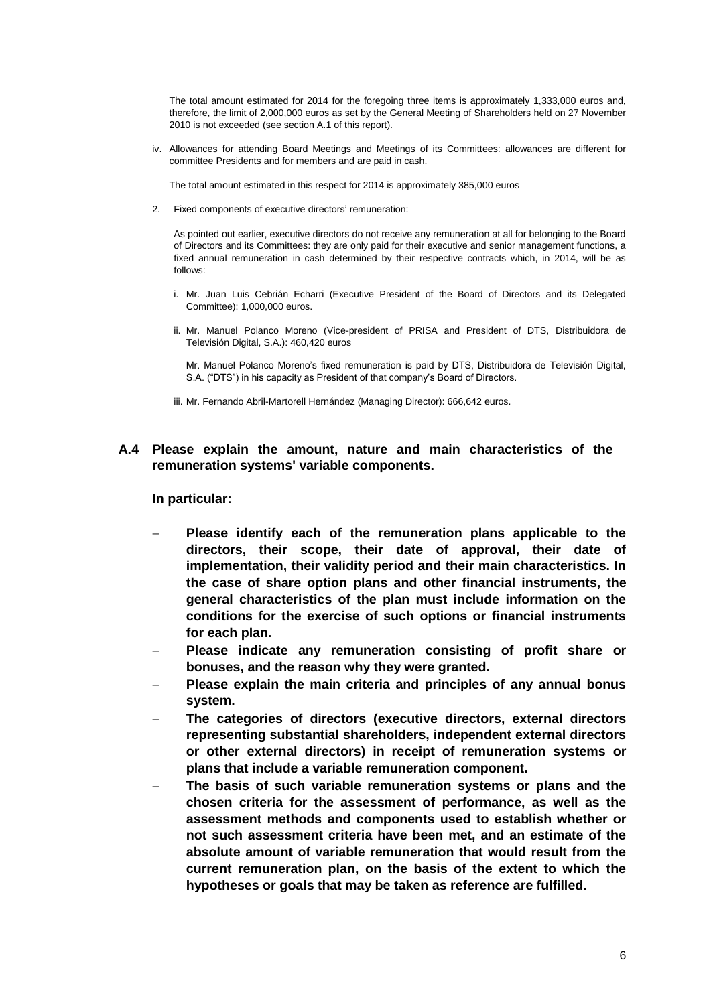The total amount estimated for 2014 for the foregoing three items is approximately 1,333,000 euros and, therefore, the limit of 2,000,000 euros as set by the General Meeting of Shareholders held on 27 November 2010 is not exceeded (see section A.1 of this report).

iv. Allowances for attending Board Meetings and Meetings of its Committees: allowances are different for committee Presidents and for members and are paid in cash.

The total amount estimated in this respect for 2014 is approximately 385,000 euros

2. Fixed components of executive directors' remuneration:

As pointed out earlier, executive directors do not receive any remuneration at all for belonging to the Board of Directors and its Committees: they are only paid for their executive and senior management functions, a fixed annual remuneration in cash determined by their respective contracts which, in 2014, will be as follows:

- i. Mr. Juan Luis Cebrián Echarri (Executive President of the Board of Directors and its Delegated Committee): 1,000,000 euros.
- ii. Mr. Manuel Polanco Moreno (Vice-president of PRISA and President of DTS, Distribuidora de Televisión Digital, S.A.): 460,420 euros

Mr. Manuel Polanco Moreno's fixed remuneration is paid by DTS, Distribuidora de Televisión Digital, S.A. ("DTS") in his capacity as President of that company's Board of Directors.

iii. Mr. Fernando Abril-Martorell Hernández (Managing Director): 666,642 euros.

## **A.4 Please explain the amount, nature and main characteristics of the remuneration systems' variable components.**

#### **In particular:**

- **Please identify each of the remuneration plans applicable to the directors, their scope, their date of approval, their date of implementation, their validity period and their main characteristics. In the case of share option plans and other financial instruments, the general characteristics of the plan must include information on the conditions for the exercise of such options or financial instruments for each plan.**
- **Please indicate any remuneration consisting of profit share or bonuses, and the reason why they were granted.**
- **Please explain the main criteria and principles of any annual bonus system.**
- **The categories of directors (executive directors, external directors representing substantial shareholders, independent external directors or other external directors) in receipt of remuneration systems or plans that include a variable remuneration component.**
- **The basis of such variable remuneration systems or plans and the chosen criteria for the assessment of performance, as well as the assessment methods and components used to establish whether or not such assessment criteria have been met, and an estimate of the absolute amount of variable remuneration that would result from the current remuneration plan, on the basis of the extent to which the hypotheses or goals that may be taken as reference are fulfilled.**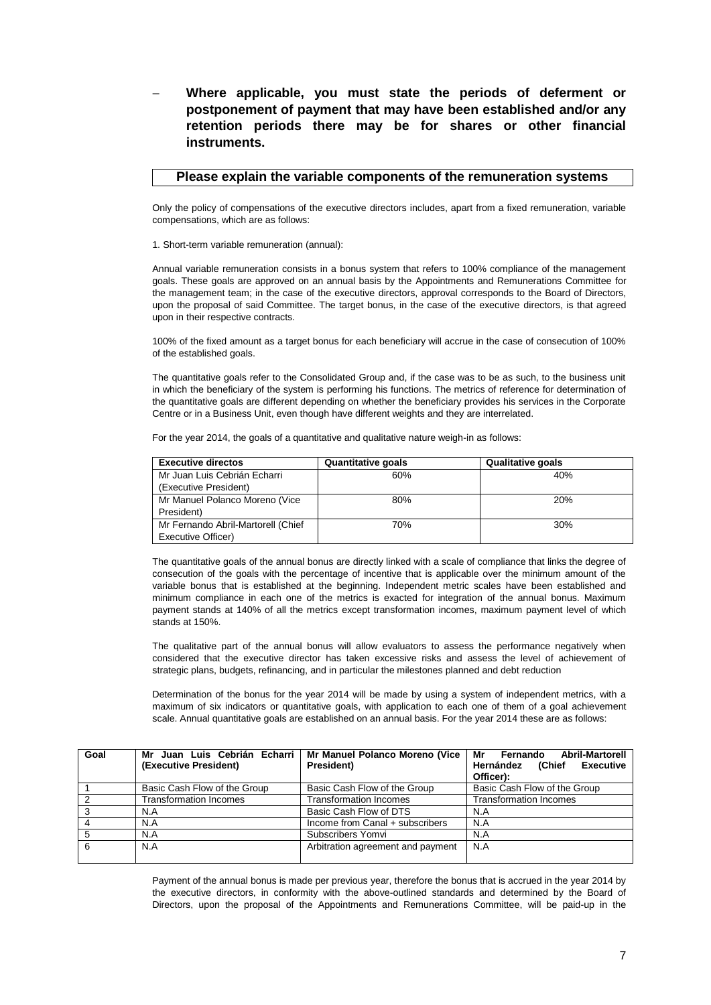**Where applicable, you must state the periods of deferment or postponement of payment that may have been established and/or any retention periods there may be for shares or other financial instruments.**

#### **Please explain the variable components of the remuneration systems**

Only the policy of compensations of the executive directors includes, apart from a fixed remuneration, variable compensations, which are as follows:

1. Short-term variable remuneration (annual):

Annual variable remuneration consists in a bonus system that refers to 100% compliance of the management goals. These goals are approved on an annual basis by the Appointments and Remunerations Committee for the management team; in the case of the executive directors, approval corresponds to the Board of Directors, upon the proposal of said Committee. The target bonus, in the case of the executive directors, is that agreed upon in their respective contracts.

100% of the fixed amount as a target bonus for each beneficiary will accrue in the case of consecution of 100% of the established goals.

The quantitative goals refer to the Consolidated Group and, if the case was to be as such, to the business unit in which the beneficiary of the system is performing his functions. The metrics of reference for determination of the quantitative goals are different depending on whether the beneficiary provides his services in the Corporate Centre or in a Business Unit, even though have different weights and they are interrelated.

For the year 2014, the goals of a quantitative and qualitative nature weigh-in as follows:

| <b>Executive directos</b>          | <b>Quantitative goals</b> | <b>Qualitative goals</b> |  |  |
|------------------------------------|---------------------------|--------------------------|--|--|
| Mr Juan Luis Cebrián Echarri       | 60%                       | 40%                      |  |  |
| (Executive President)              |                           |                          |  |  |
| Mr Manuel Polanco Moreno (Vice     | 80%                       | 20%                      |  |  |
| President)                         |                           |                          |  |  |
| Mr Fernando Abril-Martorell (Chief | 70%                       | 30%                      |  |  |
| Executive Officer)                 |                           |                          |  |  |

The quantitative goals of the annual bonus are directly linked with a scale of compliance that links the degree of consecution of the goals with the percentage of incentive that is applicable over the minimum amount of the variable bonus that is established at the beginning. Independent metric scales have been established and minimum compliance in each one of the metrics is exacted for integration of the annual bonus. Maximum payment stands at 140% of all the metrics except transformation incomes, maximum payment level of which stands at 150%.

The qualitative part of the annual bonus will allow evaluators to assess the performance negatively when considered that the executive director has taken excessive risks and assess the level of achievement of strategic plans, budgets, refinancing, and in particular the milestones planned and debt reduction

Determination of the bonus for the year 2014 will be made by using a system of independent metrics, with a maximum of six indicators or quantitative goals, with application to each one of them of a goal achievement scale. Annual quantitative goals are established on an annual basis. For the year 2014 these are as follows:

| Goal     | Mr Juan Luis Cebrián Echarri  | Mr Manuel Polanco Moreno (Vice<br>Mr |                                         |  |  |  |  |  |  |
|----------|-------------------------------|--------------------------------------|-----------------------------------------|--|--|--|--|--|--|
|          | (Executive President)         | President)                           | Hernández<br>(Chief<br><b>Executive</b> |  |  |  |  |  |  |
|          |                               |                                      | Officer):                               |  |  |  |  |  |  |
|          | Basic Cash Flow of the Group  | Basic Cash Flow of the Group         | Basic Cash Flow of the Group            |  |  |  |  |  |  |
|          | <b>Transformation Incomes</b> | <b>Transformation Incomes</b>        | <b>Transformation Incomes</b>           |  |  |  |  |  |  |
| $\Omega$ | N.A                           | Basic Cash Flow of DTS               | N.A                                     |  |  |  |  |  |  |
|          | N.A                           | Income from Canal + subscribers      | N.A                                     |  |  |  |  |  |  |
|          | N.A                           | Subscribers Yomvi                    | N.A                                     |  |  |  |  |  |  |
| 6        | N.A                           | Arbitration agreement and payment    | N.A                                     |  |  |  |  |  |  |
|          |                               |                                      |                                         |  |  |  |  |  |  |

Payment of the annual bonus is made per previous year, therefore the bonus that is accrued in the year 2014 by the executive directors, in conformity with the above-outlined standards and determined by the Board of Directors, upon the proposal of the Appointments and Remunerations Committee, will be paid-up in the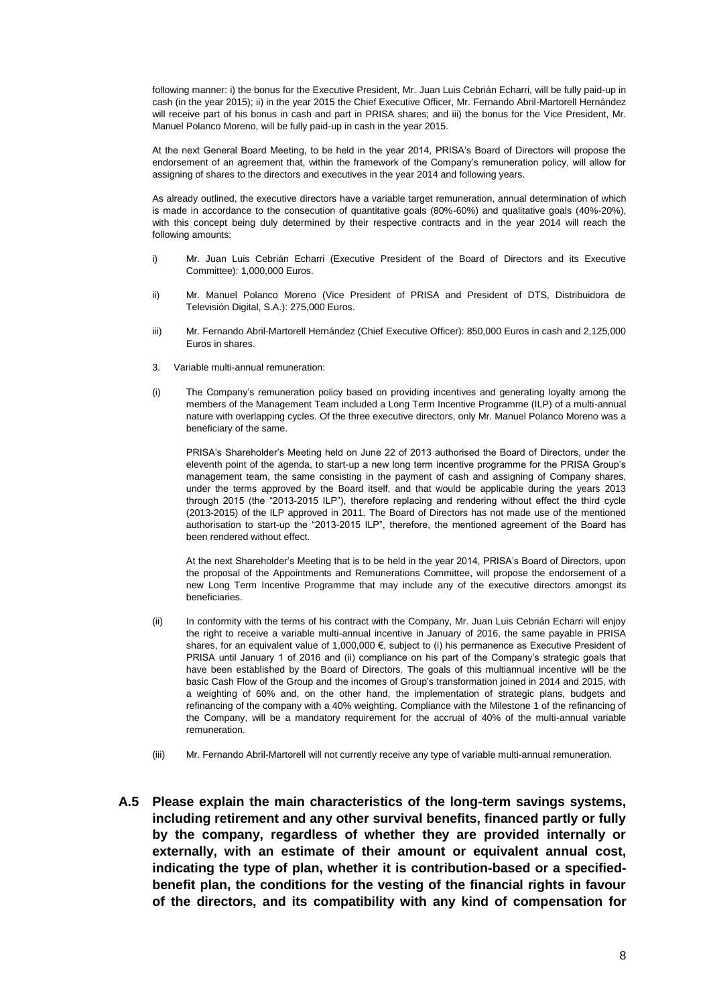following manner: i) the bonus for the Executive President, Mr. Juan Luis Cebrián Echarri, will be fully paid-up in cash (in the year 2015); ii) in the year 2015 the Chief Executive Officer, Mr. Fernando Abril-Martorell Hernández will receive part of his bonus in cash and part in PRISA shares; and iii) the bonus for the Vice President, Mr. Manuel Polanco Moreno, will be fully paid-up in cash in the year 2015.

At the next General Board Meeting, to be held in the year 2014, PRISA's Board of Directors will propose the endorsement of an agreement that, within the framework of the Company's remuneration policy, will allow for assigning of shares to the directors and executives in the year 2014 and following years.

As already outlined, the executive directors have a variable target remuneration, annual determination of which is made in accordance to the consecution of quantitative goals (80%-60%) and qualitative goals (40%-20%), with this concept being duly determined by their respective contracts and in the year 2014 will reach the following amounts:

- i) Mr. Juan Luis Cebrián Echarri (Executive President of the Board of Directors and its Executive Committee): 1,000,000 Euros.
- ii) Mr. Manuel Polanco Moreno (Vice President of PRISA and President of DTS, Distribuidora de Televisión Digital, S.A.): 275,000 Euros.
- iii) Mr. Fernando Abril-Martorell Hernández (Chief Executive Officer): 850,000 Euros in cash and 2,125,000 Euros in shares.
- 3. Variable multi-annual remuneration:
- (i) The Company's remuneration policy based on providing incentives and generating loyalty among the members of the Management Team included a Long Term Incentive Programme (ILP) of a multi-annual nature with overlapping cycles. Of the three executive directors, only Mr. Manuel Polanco Moreno was a beneficiary of the same.

PRISA's Shareholder's Meeting held on June 22 of 2013 authorised the Board of Directors, under the eleventh point of the agenda, to start-up a new long term incentive programme for the PRISA Group's management team, the same consisting in the payment of cash and assigning of Company shares, under the terms approved by the Board itself, and that would be applicable during the years 2013 through 2015 (the "2013-2015 ILP"), therefore replacing and rendering without effect the third cycle (2013-2015) of the ILP approved in 2011. The Board of Directors has not made use of the mentioned authorisation to start-up the "2013-2015 ILP", therefore, the mentioned agreement of the Board has been rendered without effect.

At the next Shareholder's Meeting that is to be held in the year 2014, PRISA's Board of Directors, upon the proposal of the Appointments and Remunerations Committee, will propose the endorsement of a new Long Term Incentive Programme that may include any of the executive directors amongst its beneficiaries.

- (ii) In conformity with the terms of his contract with the Company, Mr. Juan Luis Cebrián Echarri will enjoy the right to receive a variable multi-annual incentive in January of 2016, the same payable in PRISA shares, for an equivalent value of 1,000,000 €, subject to (i) his permanence as Executive President of PRISA until January 1 of 2016 and (ii) compliance on his part of the Company's strategic goals that have been established by the Board of Directors. The goals of this multiannual incentive will be the basic Cash Flow of the Group and the incomes of Group's transformation joined in 2014 and 2015, with a weighting of 60% and, on the other hand, the implementation of strategic plans, budgets and refinancing of the company with a 40% weighting. Compliance with the Milestone 1 of the refinancing of the Company, will be a mandatory requirement for the accrual of 40% of the multi-annual variable remuneration.
- (iii) Mr. Fernando Abril-Martorell will not currently receive any type of variable multi-annual remuneration.
- **A.5 Please explain the main characteristics of the long-term savings systems, including retirement and any other survival benefits, financed partly or fully by the company, regardless of whether they are provided internally or externally, with an estimate of their amount or equivalent annual cost, indicating the type of plan, whether it is contribution-based or a specifiedbenefit plan, the conditions for the vesting of the financial rights in favour of the directors, and its compatibility with any kind of compensation for**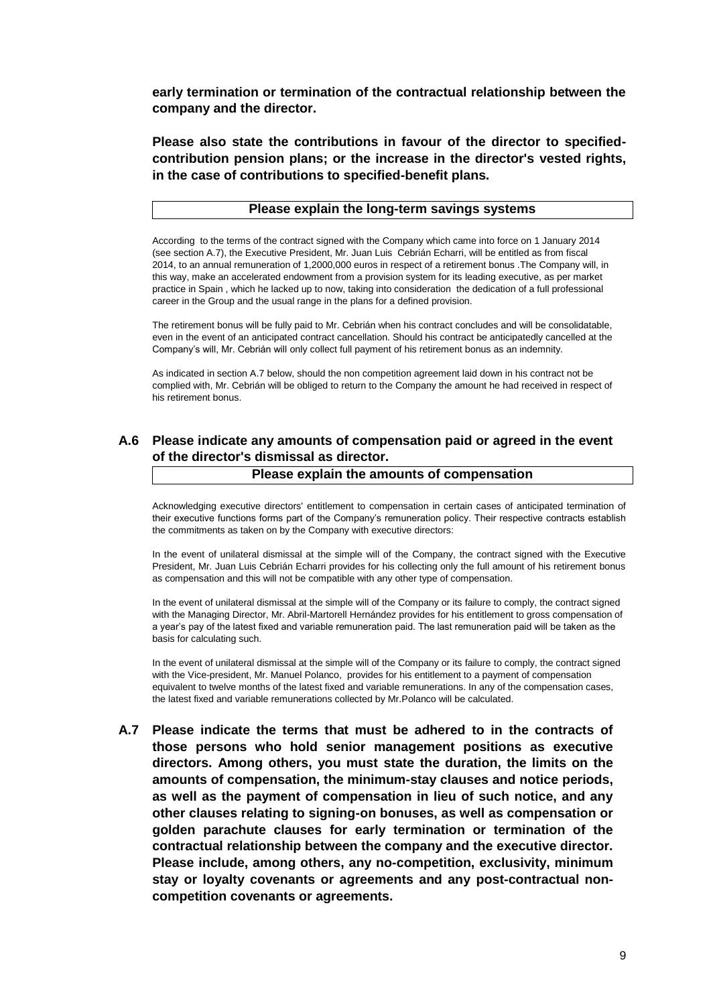**early termination or termination of the contractual relationship between the company and the director.**

**Please also state the contributions in favour of the director to specifiedcontribution pension plans; or the increase in the director's vested rights, in the case of contributions to specified-benefit plans.**

### **Please explain the long-term savings systems**

According to the terms of the contract signed with the Company which came into force on 1 January 2014 (see section A.7), the Executive President, Mr. Juan Luis Cebrián Echarri, will be entitled as from fiscal 2014, to an annual remuneration of 1,2000,000 euros in respect of a retirement bonus .The Company will, in this way, make an accelerated endowment from a provision system for its leading executive, as per market practice in Spain , which he lacked up to now, taking into consideration the dedication of a full professional career in the Group and the usual range in the plans for a defined provision.

The retirement bonus will be fully paid to Mr. Cebrián when his contract concludes and will be consolidatable, even in the event of an anticipated contract cancellation. Should his contract be anticipatedly cancelled at the Company's will, Mr. Cebrián will only collect full payment of his retirement bonus as an indemnity.

As indicated in section A.7 below, should the non competition agreement laid down in his contract not be complied with, Mr. Cebrián will be obliged to return to the Company the amount he had received in respect of his retirement bonus.

# **A.6 Please indicate any amounts of compensation paid or agreed in the event of the director's dismissal as director.**

#### **Please explain the amounts of compensation**

Acknowledging executive directors' entitlement to compensation in certain cases of anticipated termination of their executive functions forms part of the Company's remuneration policy. Their respective contracts establish the commitments as taken on by the Company with executive directors:

In the event of unilateral dismissal at the simple will of the Company, the contract signed with the Executive President, Mr. Juan Luis Cebrián Echarri provides for his collecting only the full amount of his retirement bonus as compensation and this will not be compatible with any other type of compensation.

In the event of unilateral dismissal at the simple will of the Company or its failure to comply, the contract signed with the Managing Director, Mr. Abril-Martorell Hernández provides for his entitlement to gross compensation of a year's pay of the latest fixed and variable remuneration paid. The last remuneration paid will be taken as the basis for calculating such.

In the event of unilateral dismissal at the simple will of the Company or its failure to comply, the contract signed with the Vice-president, Mr. Manuel Polanco, provides for his entitlement to a payment of compensation equivalent to twelve months of the latest fixed and variable remunerations. In any of the compensation cases, the latest fixed and variable remunerations collected by Mr.Polanco will be calculated.

**A.7 Please indicate the terms that must be adhered to in the contracts of those persons who hold senior management positions as executive directors. Among others, you must state the duration, the limits on the amounts of compensation, the minimum-stay clauses and notice periods, as well as the payment of compensation in lieu of such notice, and any other clauses relating to signing-on bonuses, as well as compensation or golden parachute clauses for early termination or termination of the contractual relationship between the company and the executive director. Please include, among others, any no-competition, exclusivity, minimum stay or loyalty covenants or agreements and any post-contractual noncompetition covenants or agreements.**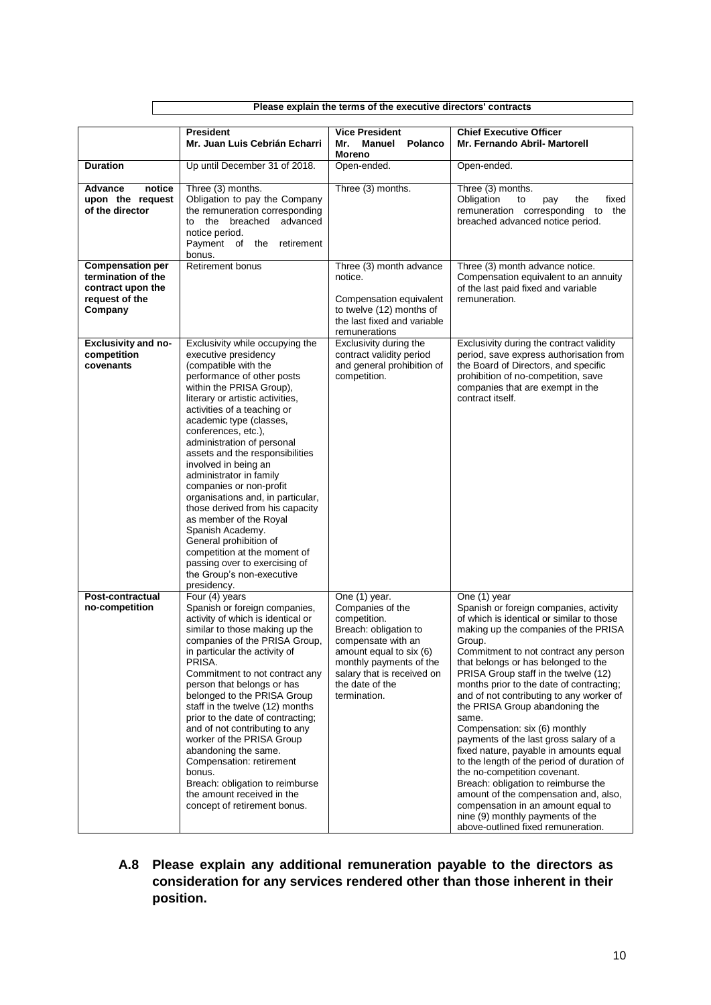|                                                                                                 | Please explain the terms of the executive directors' contracts                                                                                                                                                                                                                                                                                                                                                                                                                                                                                                                                                                                                             |                                                                                                                                                                                                                         |                                                                                                                                                                                                                                                                                                                                                                                                                                                                                                                                                                                                                                                                                                                                                                                                                     |  |  |  |  |  |  |  |  |  |
|-------------------------------------------------------------------------------------------------|----------------------------------------------------------------------------------------------------------------------------------------------------------------------------------------------------------------------------------------------------------------------------------------------------------------------------------------------------------------------------------------------------------------------------------------------------------------------------------------------------------------------------------------------------------------------------------------------------------------------------------------------------------------------------|-------------------------------------------------------------------------------------------------------------------------------------------------------------------------------------------------------------------------|---------------------------------------------------------------------------------------------------------------------------------------------------------------------------------------------------------------------------------------------------------------------------------------------------------------------------------------------------------------------------------------------------------------------------------------------------------------------------------------------------------------------------------------------------------------------------------------------------------------------------------------------------------------------------------------------------------------------------------------------------------------------------------------------------------------------|--|--|--|--|--|--|--|--|--|
|                                                                                                 |                                                                                                                                                                                                                                                                                                                                                                                                                                                                                                                                                                                                                                                                            |                                                                                                                                                                                                                         |                                                                                                                                                                                                                                                                                                                                                                                                                                                                                                                                                                                                                                                                                                                                                                                                                     |  |  |  |  |  |  |  |  |  |
|                                                                                                 | <b>President</b><br>Mr. Juan Luis Cebrián Echarri                                                                                                                                                                                                                                                                                                                                                                                                                                                                                                                                                                                                                          | <b>Vice President</b><br><b>Manuel</b><br>Mr.<br>Polanco<br>Moreno                                                                                                                                                      | <b>Chief Executive Officer</b><br>Mr. Fernando Abril- Martorell                                                                                                                                                                                                                                                                                                                                                                                                                                                                                                                                                                                                                                                                                                                                                     |  |  |  |  |  |  |  |  |  |
| <b>Duration</b>                                                                                 | Up until December 31 of 2018.                                                                                                                                                                                                                                                                                                                                                                                                                                                                                                                                                                                                                                              | Open-ended.                                                                                                                                                                                                             | Open-ended.                                                                                                                                                                                                                                                                                                                                                                                                                                                                                                                                                                                                                                                                                                                                                                                                         |  |  |  |  |  |  |  |  |  |
| notice<br>Advance<br>upon the request<br>of the director                                        | Three (3) months.<br>Obligation to pay the Company<br>the remuneration corresponding<br>advanced<br>to the breached<br>notice period.<br>Payment of the<br>retirement<br>bonus.                                                                                                                                                                                                                                                                                                                                                                                                                                                                                            | Three (3) months.                                                                                                                                                                                                       | Three (3) months.<br>Obligation<br>to<br>pay<br>the<br>fixed<br>remuneration corresponding to<br>the<br>breached advanced notice period.                                                                                                                                                                                                                                                                                                                                                                                                                                                                                                                                                                                                                                                                            |  |  |  |  |  |  |  |  |  |
| <b>Compensation per</b><br>termination of the<br>contract upon the<br>request of the<br>Company | <b>Retirement bonus</b>                                                                                                                                                                                                                                                                                                                                                                                                                                                                                                                                                                                                                                                    | Three (3) month advance<br>notice.<br>Compensation equivalent<br>to twelve (12) months of<br>the last fixed and variable<br>remunerations                                                                               | Three (3) month advance notice.<br>Compensation equivalent to an annuity<br>of the last paid fixed and variable<br>remuneration.                                                                                                                                                                                                                                                                                                                                                                                                                                                                                                                                                                                                                                                                                    |  |  |  |  |  |  |  |  |  |
| <b>Exclusivity and no-</b><br>competition<br>covenants                                          | Exclusivity while occupying the<br>executive presidency<br>(compatible with the<br>performance of other posts<br>within the PRISA Group),<br>literary or artistic activities.<br>activities of a teaching or<br>academic type (classes,<br>conferences, etc.),<br>administration of personal<br>assets and the responsibilities<br>involved in being an<br>administrator in family<br>companies or non-profit<br>organisations and, in particular,<br>those derived from his capacity<br>as member of the Royal<br>Spanish Academy.<br>General prohibition of<br>competition at the moment of<br>passing over to exercising of<br>the Group's non-executive<br>presidency. | Exclusivity during the<br>contract validity period<br>and general prohibition of<br>competition.                                                                                                                        | Exclusivity during the contract validity<br>period, save express authorisation from<br>the Board of Directors, and specific<br>prohibition of no-competition, save<br>companies that are exempt in the<br>contract itself.                                                                                                                                                                                                                                                                                                                                                                                                                                                                                                                                                                                          |  |  |  |  |  |  |  |  |  |
| Post-contractual<br>no-competition                                                              | Four (4) years<br>Spanish or foreign companies,<br>activity of which is identical or<br>similar to those making up the<br>companies of the PRISA Group,<br>in particular the activity of<br>PRISA.<br>Commitment to not contract any<br>person that belongs or has<br>belonged to the PRISA Group<br>staff in the twelve (12) months<br>prior to the date of contracting;<br>and of not contributing to any<br>worker of the PRISA Group<br>abandoning the same.<br>Compensation: retirement<br>bonus.<br>Breach: obligation to reimburse<br>the amount received in the<br>concept of retirement bonus.                                                                    | One (1) year.<br>Companies of the<br>competition.<br>Breach: obligation to<br>compensate with an<br>amount equal to six (6)<br>monthly payments of the<br>salary that is received on<br>the date of the<br>termination. | One (1) year<br>Spanish or foreign companies, activity<br>of which is identical or similar to those<br>making up the companies of the PRISA<br>Group.<br>Commitment to not contract any person<br>that belongs or has belonged to the<br>PRISA Group staff in the twelve (12)<br>months prior to the date of contracting;<br>and of not contributing to any worker of<br>the PRISA Group abandoning the<br>same.<br>Compensation: six (6) monthly<br>payments of the last gross salary of a<br>fixed nature, payable in amounts equal<br>to the length of the period of duration of<br>the no-competition covenant.<br>Breach: obligation to reimburse the<br>amount of the compensation and, also,<br>compensation in an amount equal to<br>nine (9) monthly payments of the<br>above-outlined fixed remuneration. |  |  |  |  |  |  |  |  |  |

## **A.8 Please explain any additional remuneration payable to the directors as consideration for any services rendered other than those inherent in their position.**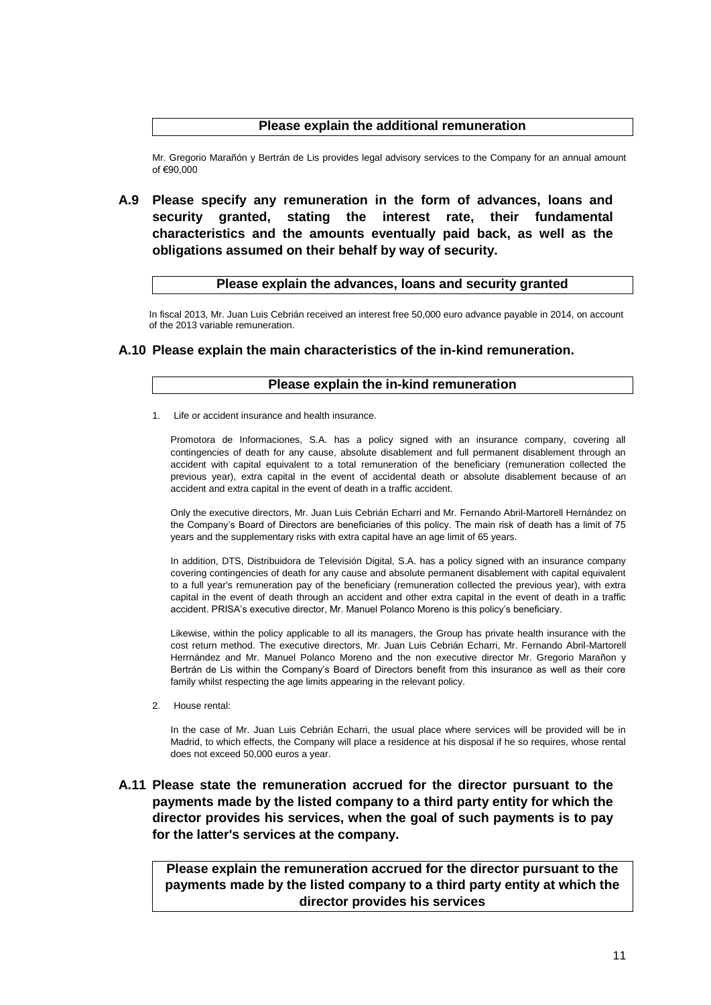### **Please explain the additional remuneration**

Mr. Gregorio Marañón y Bertrán de Lis provides legal advisory services to the Company for an annual amount of  $€90,000$ 

**A.9 Please specify any remuneration in the form of advances, loans and security granted, stating the interest rate, their fundamental characteristics and the amounts eventually paid back, as well as the obligations assumed on their behalf by way of security.** 

#### **Please explain the advances, loans and security granted**

In fiscal 2013, Mr. Juan Luis Cebrián received an interest free 50,000 euro advance payable in 2014, on account of the 2013 variable remuneration.

#### **A.10 Please explain the main characteristics of the in-kind remuneration.**

#### **Please explain the in-kind remuneration**

1. Life or accident insurance and health insurance.

Promotora de Informaciones, S.A. has a policy signed with an insurance company, covering all contingencies of death for any cause, absolute disablement and full permanent disablement through an accident with capital equivalent to a total remuneration of the beneficiary (remuneration collected the previous year), extra capital in the event of accidental death or absolute disablement because of an accident and extra capital in the event of death in a traffic accident.

Only the executive directors, Mr. Juan Luis Cebrián Echarri and Mr. Fernando Abril-Martorell Hernández on the Company's Board of Directors are beneficiaries of this policy. The main risk of death has a limit of 75 years and the supplementary risks with extra capital have an age limit of 65 years.

In addition, DTS, Distribuidora de Televisión Digital, S.A. has a policy signed with an insurance company covering contingencies of death for any cause and absolute permanent disablement with capital equivalent to a full year's remuneration pay of the beneficiary (remuneration collected the previous year), with extra capital in the event of death through an accident and other extra capital in the event of death in a traffic accident. PRISA's executive director, Mr. Manuel Polanco Moreno is this policy's beneficiary.

Likewise, within the policy applicable to all its managers, the Group has private health insurance with the cost return method. The executive directors, Mr. Juan Luis Cebrián Echarri, Mr. Fernando Abril-Martorell Herrnández and Mr. Manuel Polanco Moreno and the non executive director Mr. Gregorio Marañon y Bertrán de Lis within the Company's Board of Directors benefit from this insurance as well as their core family whilst respecting the age limits appearing in the relevant policy.

2. House rental:

In the case of Mr. Juan Luis Cebrián Echarri, the usual place where services will be provided will be in Madrid, to which effects, the Company will place a residence at his disposal if he so requires, whose rental does not exceed 50,000 euros a year.

## **A.11 Please state the remuneration accrued for the director pursuant to the payments made by the listed company to a third party entity for which the director provides his services, when the goal of such payments is to pay for the latter's services at the company.**

**Please explain the remuneration accrued for the director pursuant to the payments made by the listed company to a third party entity at which the director provides his services**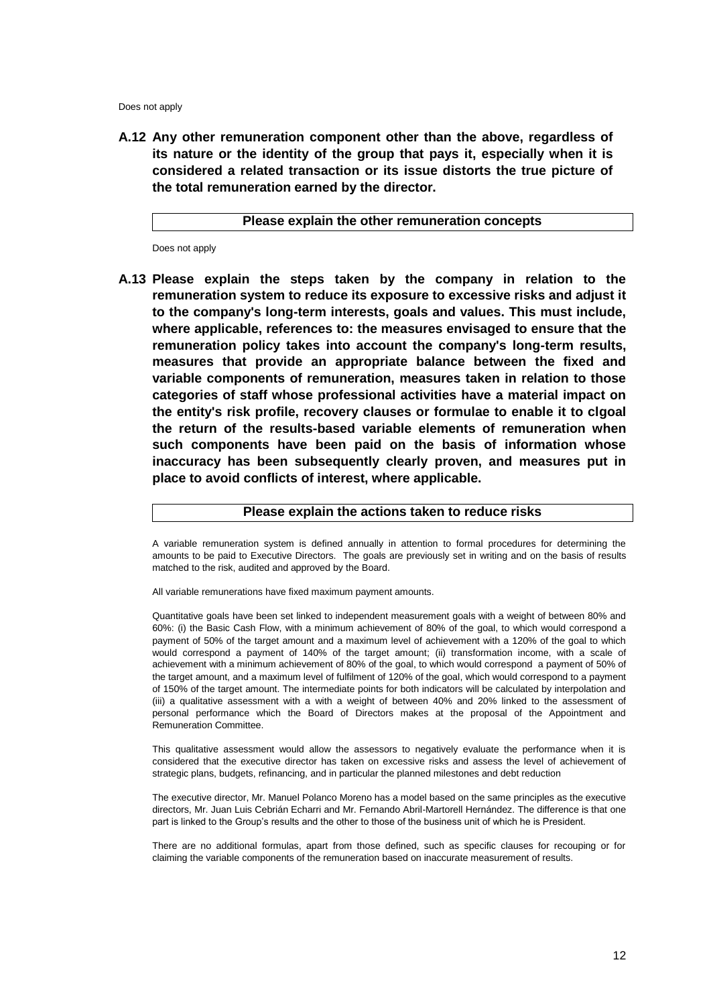Does not apply

**A.12 Any other remuneration component other than the above, regardless of its nature or the identity of the group that pays it, especially when it is considered a related transaction or its issue distorts the true picture of the total remuneration earned by the director.** 

#### **Please explain the other remuneration concepts**

Does not apply

**A.13 Please explain the steps taken by the company in relation to the remuneration system to reduce its exposure to excessive risks and adjust it to the company's long-term interests, goals and values. This must include, where applicable, references to: the measures envisaged to ensure that the remuneration policy takes into account the company's long-term results, measures that provide an appropriate balance between the fixed and variable components of remuneration, measures taken in relation to those categories of staff whose professional activities have a material impact on the entity's risk profile, recovery clauses or formulae to enable it to clgoal the return of the results-based variable elements of remuneration when such components have been paid on the basis of information whose inaccuracy has been subsequently clearly proven, and measures put in place to avoid conflicts of interest, where applicable.** 

#### **Please explain the actions taken to reduce risks**

A variable remuneration system is defined annually in attention to formal procedures for determining the amounts to be paid to Executive Directors. The goals are previously set in writing and on the basis of results matched to the risk, audited and approved by the Board.

All variable remunerations have fixed maximum payment amounts.

Quantitative goals have been set linked to independent measurement goals with a weight of between 80% and 60%: (i) the Basic Cash Flow, with a minimum achievement of 80% of the goal, to which would correspond a payment of 50% of the target amount and a maximum level of achievement with a 120% of the goal to which would correspond a payment of 140% of the target amount; (ii) transformation income, with a scale of achievement with a minimum achievement of 80% of the goal, to which would correspond a payment of 50% of the target amount, and a maximum level of fulfilment of 120% of the goal, which would correspond to a payment of 150% of the target amount. The intermediate points for both indicators will be calculated by interpolation and (iii) a qualitative assessment with a with a weight of between 40% and 20% linked to the assessment of personal performance which the Board of Directors makes at the proposal of the Appointment and Remuneration Committee.

This qualitative assessment would allow the assessors to negatively evaluate the performance when it is considered that the executive director has taken on excessive risks and assess the level of achievement of strategic plans, budgets, refinancing, and in particular the planned milestones and debt reduction

The executive director, Mr. Manuel Polanco Moreno has a model based on the same principles as the executive directors, Mr. Juan Luis Cebrián Echarri and Mr. Fernando Abril-Martorell Hernández. The difference is that one part is linked to the Group's results and the other to those of the business unit of which he is President.

There are no additional formulas, apart from those defined, such as specific clauses for recouping or for claiming the variable components of the remuneration based on inaccurate measurement of results.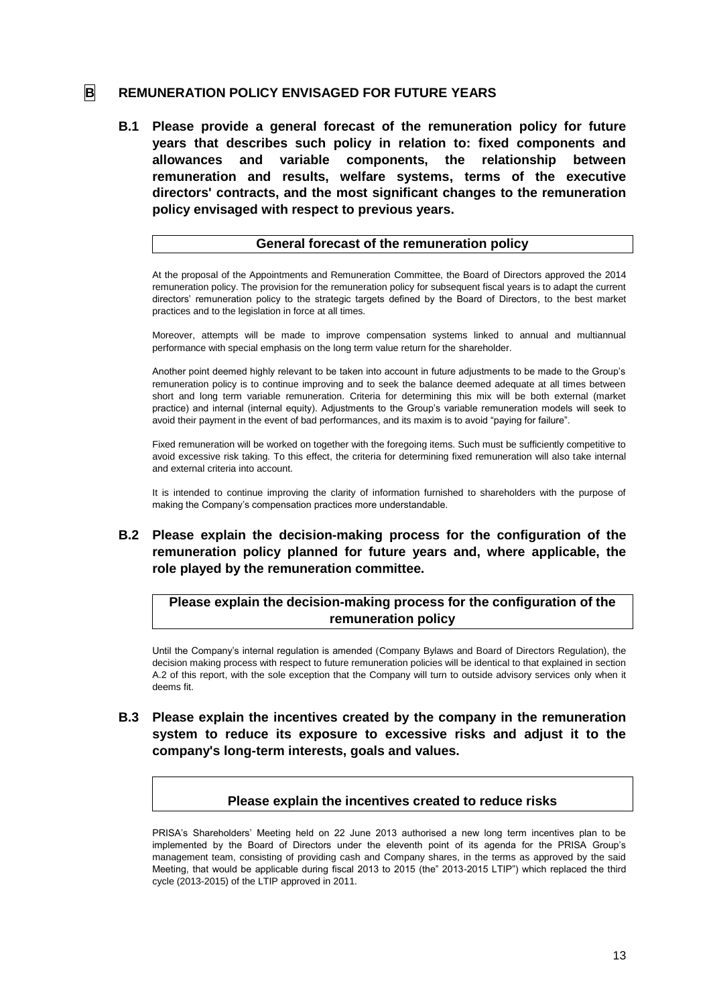## **B REMUNERATION POLICY ENVISAGED FOR FUTURE YEARS**

**B.1 Please provide a general forecast of the remuneration policy for future years that describes such policy in relation to: fixed components and allowances and variable components, the relationship between remuneration and results, welfare systems, terms of the executive directors' contracts, and the most significant changes to the remuneration policy envisaged with respect to previous years.** 

#### **General forecast of the remuneration policy**

At the proposal of the Appointments and Remuneration Committee, the Board of Directors approved the 2014 remuneration policy. The provision for the remuneration policy for subsequent fiscal years is to adapt the current directors' remuneration policy to the strategic targets defined by the Board of Directors, to the best market practices and to the legislation in force at all times.

Moreover, attempts will be made to improve compensation systems linked to annual and multiannual performance with special emphasis on the long term value return for the shareholder.

Another point deemed highly relevant to be taken into account in future adjustments to be made to the Group's remuneration policy is to continue improving and to seek the balance deemed adequate at all times between short and long term variable remuneration. Criteria for determining this mix will be both external (market practice) and internal (internal equity). Adjustments to the Group's variable remuneration models will seek to avoid their payment in the event of bad performances, and its maxim is to avoid "paying for failure".

Fixed remuneration will be worked on together with the foregoing items. Such must be sufficiently competitive to avoid excessive risk taking. To this effect, the criteria for determining fixed remuneration will also take internal and external criteria into account.

It is intended to continue improving the clarity of information furnished to shareholders with the purpose of making the Company's compensation practices more understandable.

## **B.2 Please explain the decision-making process for the configuration of the remuneration policy planned for future years and, where applicable, the role played by the remuneration committee.**

## **Please explain the decision-making process for the configuration of the remuneration policy**

Until the Company's internal regulation is amended (Company Bylaws and Board of Directors Regulation), the decision making process with respect to future remuneration policies will be identical to that explained in section A.2 of this report, with the sole exception that the Company will turn to outside advisory services only when it deems fit.

### **B.3 Please explain the incentives created by the company in the remuneration system to reduce its exposure to excessive risks and adjust it to the company's long-term interests, goals and values.**

#### **Please explain the incentives created to reduce risks**

PRISA's Shareholders' Meeting held on 22 June 2013 authorised a new long term incentives plan to be implemented by the Board of Directors under the eleventh point of its agenda for the PRISA Group's management team, consisting of providing cash and Company shares, in the terms as approved by the said Meeting, that would be applicable during fiscal 2013 to 2015 (the" 2013-2015 LTIP") which replaced the third cycle (2013-2015) of the LTIP approved in 2011.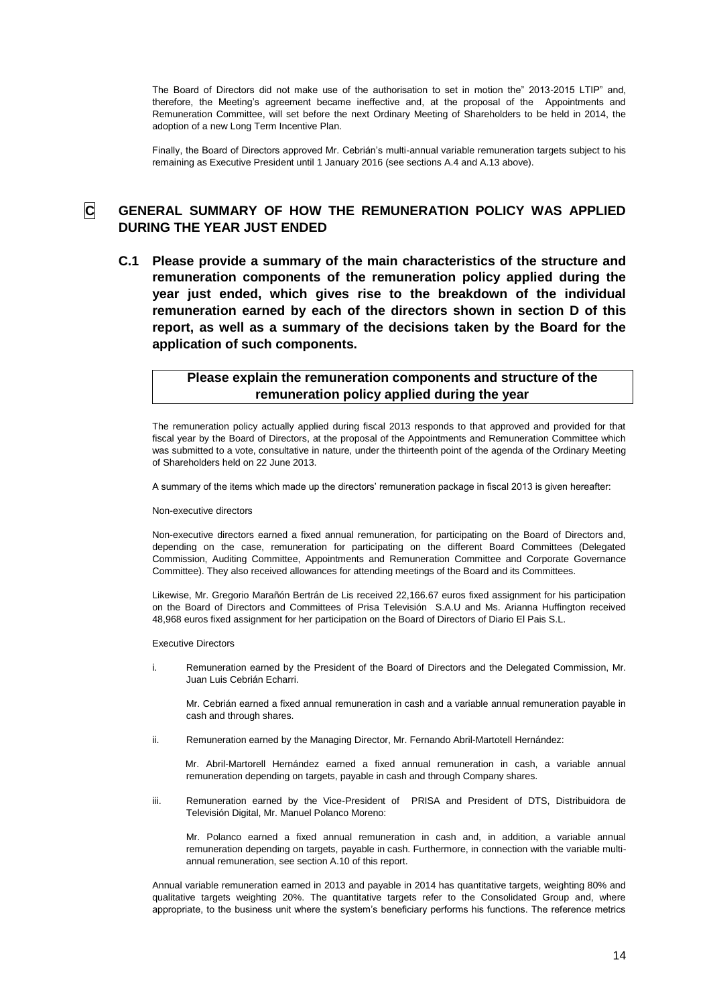The Board of Directors did not make use of the authorisation to set in motion the" 2013-2015 LTIP" and, therefore, the Meeting's agreement became ineffective and, at the proposal of the Appointments and Remuneration Committee, will set before the next Ordinary Meeting of Shareholders to be held in 2014, the adoption of a new Long Term Incentive Plan.

Finally, the Board of Directors approved Mr. Cebrián's multi-annual variable remuneration targets subject to his remaining as Executive President until 1 January 2016 (see sections A.4 and A.13 above).

## **C GENERAL SUMMARY OF HOW THE REMUNERATION POLICY WAS APPLIED DURING THE YEAR JUST ENDED**

**C.1 Please provide a summary of the main characteristics of the structure and remuneration components of the remuneration policy applied during the year just ended, which gives rise to the breakdown of the individual remuneration earned by each of the directors shown in section D of this report, as well as a summary of the decisions taken by the Board for the application of such components.** 

### **Please explain the remuneration components and structure of the remuneration policy applied during the year**

The remuneration policy actually applied during fiscal 2013 responds to that approved and provided for that fiscal year by the Board of Directors, at the proposal of the Appointments and Remuneration Committee which was submitted to a vote, consultative in nature, under the thirteenth point of the agenda of the Ordinary Meeting of Shareholders held on 22 June 2013.

A summary of the items which made up the directors' remuneration package in fiscal 2013 is given hereafter:

#### Non-executive directors

Non-executive directors earned a fixed annual remuneration, for participating on the Board of Directors and, depending on the case, remuneration for participating on the different Board Committees (Delegated Commission, Auditing Committee, Appointments and Remuneration Committee and Corporate Governance Committee). They also received allowances for attending meetings of the Board and its Committees.

Likewise, Mr. Gregorio Marañón Bertrán de Lis received 22,166.67 euros fixed assignment for his participation on the Board of Directors and Committees of Prisa Televisión S.A.U and Ms. Arianna Huffington received 48,968 euros fixed assignment for her participation on the Board of Directors of Diario El Pais S.L.

Executive Directors

i. Remuneration earned by the President of the Board of Directors and the Delegated Commission, Mr. Juan Luis Cebrián Echarri.

Mr. Cebrián earned a fixed annual remuneration in cash and a variable annual remuneration payable in cash and through shares.

ii. Remuneration earned by the Managing Director, Mr. Fernando Abril-Martotell Hernández:

Mr. Abril-Martorell Hernández earned a fixed annual remuneration in cash, a variable annual remuneration depending on targets, payable in cash and through Company shares.

iii. Remuneration earned by the Vice-President of PRISA and President of DTS, Distribuidora de Televisión Digital, Mr. Manuel Polanco Moreno:

Mr. Polanco earned a fixed annual remuneration in cash and, in addition, a variable annual remuneration depending on targets, payable in cash. Furthermore, in connection with the variable multiannual remuneration, see section A.10 of this report.

Annual variable remuneration earned in 2013 and payable in 2014 has quantitative targets, weighting 80% and qualitative targets weighting 20%. The quantitative targets refer to the Consolidated Group and, where appropriate, to the business unit where the system's beneficiary performs his functions. The reference metrics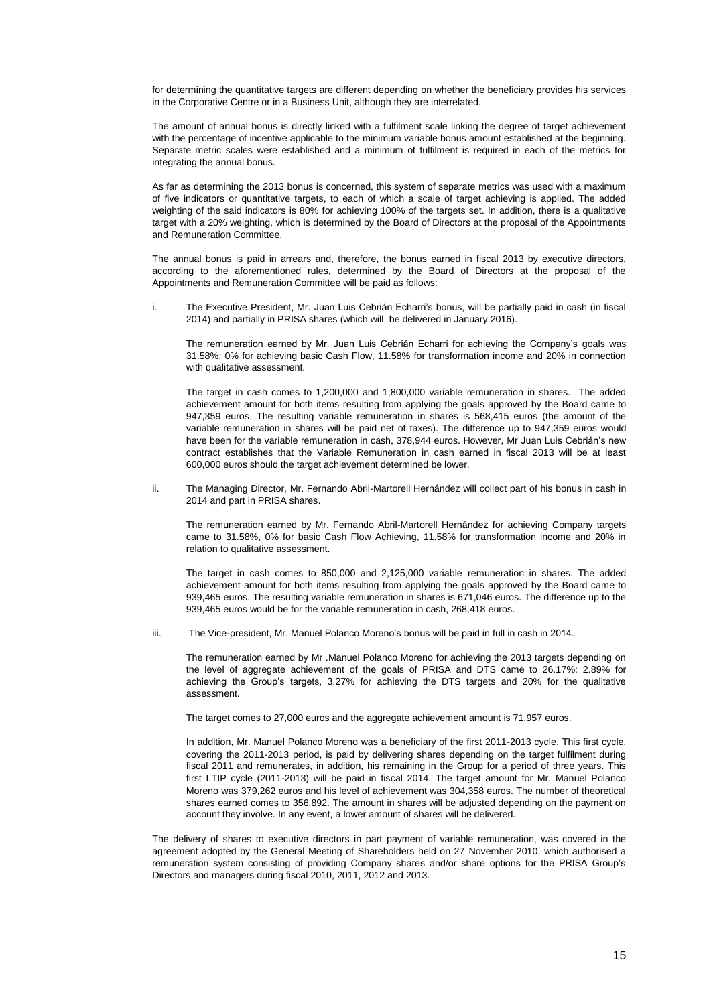for determining the quantitative targets are different depending on whether the beneficiary provides his services in the Corporative Centre or in a Business Unit, although they are interrelated.

The amount of annual bonus is directly linked with a fulfilment scale linking the degree of target achievement with the percentage of incentive applicable to the minimum variable bonus amount established at the beginning. Separate metric scales were established and a minimum of fulfilment is required in each of the metrics for integrating the annual bonus.

As far as determining the 2013 bonus is concerned, this system of separate metrics was used with a maximum of five indicators or quantitative targets, to each of which a scale of target achieving is applied. The added weighting of the said indicators is 80% for achieving 100% of the targets set. In addition, there is a qualitative target with a 20% weighting, which is determined by the Board of Directors at the proposal of the Appointments and Remuneration Committee.

The annual bonus is paid in arrears and, therefore, the bonus earned in fiscal 2013 by executive directors, according to the aforementioned rules, determined by the Board of Directors at the proposal of the Appointments and Remuneration Committee will be paid as follows:

i. The Executive President, Mr. Juan Luis Cebrián Echarri's bonus, will be partially paid in cash (in fiscal 2014) and partially in PRISA shares (which will be delivered in January 2016).

The remuneration earned by Mr. Juan Luis Cebrián Echarri for achieving the Company's goals was 31.58%: 0% for achieving basic Cash Flow, 11.58% for transformation income and 20% in connection with qualitative assessment.

The target in cash comes to 1,200,000 and 1,800,000 variable remuneration in shares. The added achievement amount for both items resulting from applying the goals approved by the Board came to 947,359 euros. The resulting variable remuneration in shares is 568,415 euros (the amount of the variable remuneration in shares will be paid net of taxes). The difference up to 947,359 euros would have been for the variable remuneration in cash, 378,944 euros. However, Mr Juan Luis Cebrián's new contract establishes that the Variable Remuneration in cash earned in fiscal 2013 will be at least 600,000 euros should the target achievement determined be lower.

ii. The Managing Director, Mr. Fernando Abril-Martorell Hernández will collect part of his bonus in cash in 2014 and part in PRISA shares.

The remuneration earned by Mr. Fernando Abril-Martorell Hernández for achieving Company targets came to 31.58%, 0% for basic Cash Flow Achieving, 11.58% for transformation income and 20% in relation to qualitative assessment.

The target in cash comes to 850,000 and 2,125,000 variable remuneration in shares. The added achievement amount for both items resulting from applying the goals approved by the Board came to 939,465 euros. The resulting variable remuneration in shares is 671,046 euros. The difference up to the 939,465 euros would be for the variable remuneration in cash, 268,418 euros.

iii. The Vice-president, Mr. Manuel Polanco Moreno's bonus will be paid in full in cash in 2014.

The remuneration earned by Mr .Manuel Polanco Moreno for achieving the 2013 targets depending on the level of aggregate achievement of the goals of PRISA and DTS came to 26.17%: 2.89% for achieving the Group's targets, 3.27% for achieving the DTS targets and 20% for the qualitative assessment.

The target comes to 27,000 euros and the aggregate achievement amount is 71,957 euros.

In addition, Mr. Manuel Polanco Moreno was a beneficiary of the first 2011-2013 cycle. This first cycle, covering the 2011-2013 period, is paid by delivering shares depending on the target fulfilment during fiscal 2011 and remunerates, in addition, his remaining in the Group for a period of three years. This first LTIP cycle (2011-2013) will be paid in fiscal 2014. The target amount for Mr. Manuel Polanco Moreno was 379,262 euros and his level of achievement was 304,358 euros. The number of theoretical shares earned comes to 356,892. The amount in shares will be adjusted depending on the payment on account they involve. In any event, a lower amount of shares will be delivered.

The delivery of shares to executive directors in part payment of variable remuneration, was covered in the agreement adopted by the General Meeting of Shareholders held on 27 November 2010, which authorised a remuneration system consisting of providing Company shares and/or share options for the PRISA Group's Directors and managers during fiscal 2010, 2011, 2012 and 2013.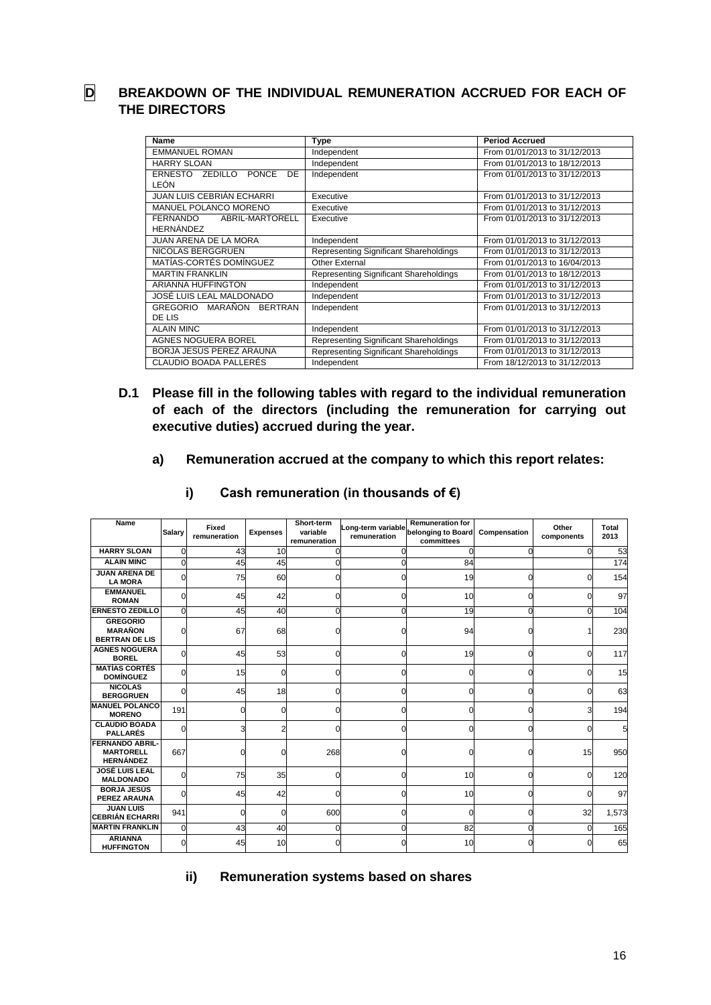# **D BREAKDOWN OF THE INDIVIDUAL REMUNERATION ACCRUED FOR EACH OF THE DIRECTORS**

| Name                                                   | <b>Type</b>                            | <b>Period Accrued</b>         |  |  |
|--------------------------------------------------------|----------------------------------------|-------------------------------|--|--|
| <b>EMMANUEL ROMAN</b>                                  | Independent                            | From 01/01/2013 to 31/12/2013 |  |  |
| <b>HARRY SLOAN</b>                                     | Independent                            | From 01/01/2013 to 18/12/2013 |  |  |
| <b>ERNESTO</b><br>ZEDILLO<br><b>PONCE</b><br><b>DE</b> | Independent                            | From 01/01/2013 to 31/12/2013 |  |  |
| LEÓN                                                   |                                        |                               |  |  |
| <b>JUAN LUIS CEBRIAN ECHARRI</b>                       | Executive                              | From 01/01/2013 to 31/12/2013 |  |  |
| MANUEL POLANCO MORENO                                  | Executive                              | From 01/01/2013 to 31/12/2013 |  |  |
| FERNANDO<br>ABRIL-MARTORELL                            | Executive                              | From 01/01/2013 to 31/12/2013 |  |  |
| <b>HERNÁNDEZ</b>                                       |                                        |                               |  |  |
| <b>JUAN ARENA DE LA MORA</b>                           | Independent                            | From 01/01/2013 to 31/12/2013 |  |  |
| NICOLAS BERGGRUEN                                      | Representing Significant Shareholdings | From 01/01/2013 to 31/12/2013 |  |  |
| MATÍAS-CORTÉS DOMÍNGUEZ                                | Other External                         | From 01/01/2013 to 16/04/2013 |  |  |
| <b>MARTIN FRANKLIN</b>                                 | Representing Significant Shareholdings | From 01/01/2013 to 18/12/2013 |  |  |
| <b>ARIANNA HUFFINGTON</b>                              | Independent                            | From 01/01/2013 to 31/12/2013 |  |  |
| JOSÉ LUIS LEAL MALDONADO                               | Independent                            | From 01/01/2013 to 31/12/2013 |  |  |
| <b>GREGORIO</b><br>MARAÑON<br><b>BERTRAN</b>           | Independent                            | From 01/01/2013 to 31/12/2013 |  |  |
| DE LIS                                                 |                                        |                               |  |  |
| <b>ALAIN MINC</b>                                      | Independent                            | From 01/01/2013 to 31/12/2013 |  |  |
| <b>AGNES NOGUERA BOREL</b>                             | Representing Significant Shareholdings | From 01/01/2013 to 31/12/2013 |  |  |
| BORJA JESÚS PEREZ ARAUNA                               | Representing Significant Shareholdings | From 01/01/2013 to 31/12/2013 |  |  |
| CLAUDIO BOADA PALLERÉS                                 | Independent                            | From 18/12/2013 to 31/12/2013 |  |  |

- **D.1 Please fill in the following tables with regard to the individual remuneration of each of the directors (including the remuneration for carrying out executive duties) accrued during the year.** 
	- **a) Remuneration accrued at the company to which this report relates:**

| Name                                                           | <b>Salary</b> | Fixed<br>remuneration | <b>Expenses</b> | Short-term<br>variable<br>remuneration | <b>Remuneration for</b><br>Long-term variable<br>belonging to Board<br>Compensation<br>remuneration<br>committees |    | Other<br>components | Total<br>2013 |       |
|----------------------------------------------------------------|---------------|-----------------------|-----------------|----------------------------------------|-------------------------------------------------------------------------------------------------------------------|----|---------------------|---------------|-------|
| <b>HARRY SLOAN</b>                                             | O             | 43                    | 10              |                                        |                                                                                                                   |    |                     | $\Omega$      | 53    |
| <b>ALAIN MINC</b>                                              | 0             | 45                    | 45              |                                        |                                                                                                                   | 84 |                     |               | 174   |
| <b>JUAN ARENA DE</b><br><b>LA MORA</b>                         | $\Omega$      | 75                    | 60              |                                        |                                                                                                                   | 19 |                     |               | 154   |
| <b>EMMANUEL</b><br><b>ROMAN</b>                                | C             | 45                    | 42              |                                        |                                                                                                                   | 10 |                     |               | 97    |
| <b>ERNESTO ZEDILLO</b>                                         | O             | 45                    | 40              |                                        |                                                                                                                   | 19 |                     |               | 104   |
| <b>GREGORIO</b><br><b>MARAÑON</b><br><b>BERTRAN DE LIS</b>     |               | 67                    | 68              |                                        |                                                                                                                   | 94 |                     |               | 230   |
| <b>AGNES NOGUERA</b><br><b>BOREL</b>                           | O             | 45                    | 53              |                                        | n                                                                                                                 | 19 |                     | $\Omega$      | 117   |
| <b>MATÍAS CORTÉS</b><br><b>DOMÍNGUEZ</b>                       | ი             | 15                    | ∩               |                                        |                                                                                                                   |    |                     | ∩             | 15    |
| <b>NICOLAS</b><br><b>BERGGRUEN</b>                             | U             | 45                    | 18              |                                        |                                                                                                                   |    |                     | O             | 63    |
| <b>MANUEL POLANCO</b><br><b>MORENO</b>                         | 191           | 0                     |                 |                                        |                                                                                                                   |    |                     | з             | 194   |
| <b>CLAUDIO BOADA</b><br><b>PALLARÉS</b>                        | $\Omega$      |                       |                 |                                        | n                                                                                                                 |    |                     | ŋ             | 5     |
| <b>FERNANDO ABRIL-</b><br><b>MARTORELL</b><br><b>HERNÁNDEZ</b> | 667           | 0                     |                 | 268                                    |                                                                                                                   |    |                     | 15            | 950   |
| <b>JOSÉ LUIS LEAL</b><br><b>MALDONADO</b>                      |               | 75                    | 35              |                                        |                                                                                                                   | 10 |                     |               | 120   |
| <b>BORJA JESÚS</b><br><b>PEREZ ARAUNA</b>                      |               | 45                    | 42              |                                        |                                                                                                                   | 10 |                     |               | 97    |
| <b>JUAN LUIS</b><br><b>CEBRIÁN ECHARRI</b>                     | 941           | 0                     | ∩               | 600                                    |                                                                                                                   |    |                     | 32            | 1,573 |
| <b>MARTIN FRANKLIN</b>                                         | $\Omega$      | 43                    | 40              | O                                      | ∩                                                                                                                 | 82 |                     | n             | 165   |
| <b>ARIANNA</b><br><b>HUFFINGTON</b>                            | 0             | 45                    | 10              |                                        |                                                                                                                   | 10 |                     |               | 65    |

**i) Cash remuneration (in thousands of €)**

**ii) Remuneration systems based on shares**

16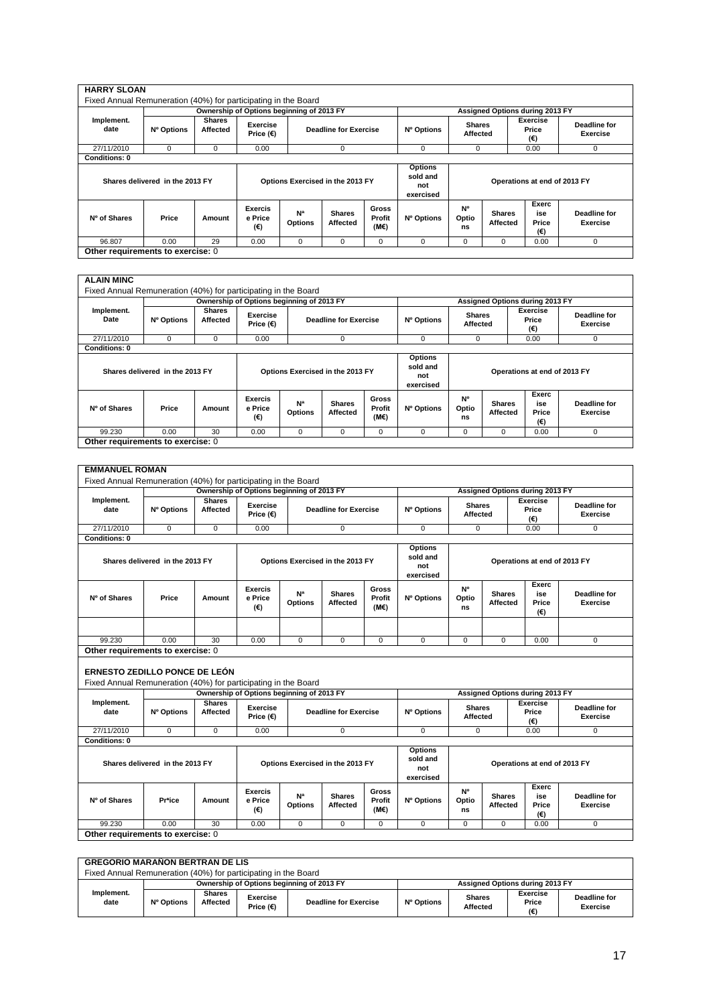| <b>HARRY SLOAN</b><br>Fixed Annual Remuneration (40%) for participating in the Board |                                 |                           |                                  |                                           |                              |                                |                                                |                           |                                 |                              |                                 |
|--------------------------------------------------------------------------------------|---------------------------------|---------------------------|----------------------------------|-------------------------------------------|------------------------------|--------------------------------|------------------------------------------------|---------------------------|---------------------------------|------------------------------|---------------------------------|
|                                                                                      |                                 |                           |                                  | Ownership of Options beginning of 2013 FY |                              |                                |                                                |                           | Assigned Options during 2013 FY |                              |                                 |
| Implement.<br>date                                                                   | Nº Options                      | <b>Shares</b><br>Affected | Exercise<br>Price (€)            |                                           | <b>Deadline for Exercise</b> |                                | Nº Options                                     | <b>Shares</b><br>Affected |                                 | Exercise<br>Price<br>(€)     | Deadline for<br><b>Exercise</b> |
| 27/11/2010                                                                           | $\Omega$                        | 0                         | 0.00                             |                                           | $\mathbf 0$                  |                                | 0                                              | 0                         |                                 | 0.00                         | $\mathbf 0$                     |
| <b>Conditions: 0</b>                                                                 |                                 |                           |                                  |                                           |                              |                                |                                                |                           |                                 |                              |                                 |
|                                                                                      | Shares delivered in the 2013 FY |                           |                                  | Options Exercised in the 2013 FY          |                              |                                | <b>Options</b><br>sold and<br>not<br>exercised |                           |                                 | Operations at end of 2013 FY |                                 |
| Nº of Shares                                                                         | Price                           | Amount                    | <b>Exercis</b><br>e Price<br>(€) | N <sup>a</sup><br><b>Options</b>          | <b>Shares</b><br>Affected    | <b>Gross</b><br>Profit<br>(M€) | Nº Options                                     | N°<br>Optio<br>ns         | <b>Shares</b><br>Affected       | Exerc<br>ise<br>Price<br>(€) | Deadline for<br>Exercise        |
| 96.807                                                                               | 0.00                            | 29                        | 0.00                             | 0                                         | $\mathbf 0$                  | 0                              | 0                                              | 0                         | $\Omega$                        | 0.00                         | $\Omega$                        |
| Other requirements to exercise: 0                                                    |                                 |                           |                                  |                                           |                              |                                |                                                |                           |                                 |                              |                                 |

|                      |                                 |                           |                                  | Ownership of Options beginning of 2013 FY |                              |                                | Assigned Options during 2013 FY                |                           |                           |                              |                                 |
|----------------------|---------------------------------|---------------------------|----------------------------------|-------------------------------------------|------------------------------|--------------------------------|------------------------------------------------|---------------------------|---------------------------|------------------------------|---------------------------------|
| Implement.<br>Date   | Nº Options                      | <b>Shares</b><br>Affected | Exercise<br>Price $(E)$          |                                           | <b>Deadline for Exercise</b> |                                | Nº Options                                     | <b>Shares</b><br>Affected |                           | Exercise<br>Price<br>(€)     | Deadline for<br><b>Exercise</b> |
| 27/11/2010           | $\mathbf 0$                     | 0                         | 0.00                             |                                           | $\mathbf 0$                  |                                | 0                                              | 0                         |                           | 0.00                         | $\mathbf{0}$                    |
| <b>Conditions: 0</b> |                                 |                           |                                  |                                           |                              |                                |                                                |                           |                           |                              |                                 |
|                      | Shares delivered in the 2013 FY |                           |                                  | Options Exercised in the 2013 FY          |                              |                                | <b>Options</b><br>sold and<br>not<br>exercised |                           |                           | Operations at end of 2013 FY |                                 |
| Nº of Shares         | Price                           | Amount                    | <b>Exercis</b><br>e Price<br>(€) | N <sup>a</sup><br><b>Options</b>          | <b>Shares</b><br>Affected    | <b>Gross</b><br>Profit<br>(M€) | Nº Options                                     | N°<br>Optio<br>ns         | <b>Shares</b><br>Affected | Exerc<br>ise<br>Price<br>(€) | Deadline for<br><b>Exercise</b> |
| 99.230               | 0.00                            | 30                        | 0.00                             | 0                                         | $\mathbf 0$                  | $\Omega$                       | 0                                              | 0                         | 0                         | 0.00                         | $\mathbf 0$                     |

| <b>EMMANUEL ROMAN</b>                                                                                  |                                 |                           |                                           |                              |                                  |                                      |                                                |                                  |                           |                                       |                                 |
|--------------------------------------------------------------------------------------------------------|---------------------------------|---------------------------|-------------------------------------------|------------------------------|----------------------------------|--------------------------------------|------------------------------------------------|----------------------------------|---------------------------|---------------------------------------|---------------------------------|
| Fixed Annual Remuneration (40%) for participating in the Board                                         |                                 |                           |                                           |                              |                                  |                                      |                                                |                                  |                           |                                       |                                 |
|                                                                                                        |                                 |                           | Ownership of Options beginning of 2013 FY |                              |                                  |                                      |                                                |                                  |                           | Assigned Options during 2013 FY       |                                 |
| Implement.<br>date                                                                                     | Nº Options                      | <b>Shares</b><br>Affected | Exercise<br>Price $(E)$                   | <b>Deadline for Exercise</b> |                                  |                                      | Nº Options                                     | <b>Shares</b><br><b>Affected</b> |                           | <b>Exercise</b><br>Price<br>(€)       | <b>Deadline for</b><br>Exercise |
| 27/11/2010                                                                                             | $\Omega$                        | $\Omega$                  | 0.00                                      |                              | $\Omega$                         |                                      | $\Omega$                                       | $\Omega$<br>0.00                 |                           |                                       | $\Omega$                        |
| <b>Conditions: 0</b>                                                                                   |                                 |                           |                                           |                              |                                  |                                      |                                                |                                  |                           |                                       |                                 |
|                                                                                                        | Shares delivered in the 2013 FY |                           |                                           |                              | Options Exercised in the 2013 FY |                                      | <b>Options</b><br>sold and<br>not<br>exercised |                                  |                           | Operations at end of 2013 FY          |                                 |
| Nº of Shares                                                                                           | Price                           | Amount                    | <b>Exercis</b><br>e Price<br>(€)          | Na<br><b>Options</b>         | <b>Shares</b><br>Affected        | <b>Gross</b><br>Profit<br>$(M \in )$ | Nº Options                                     | N <sup>o</sup><br>Optio<br>ns    | <b>Shares</b><br>Affected | Exerc<br>ise<br>Price<br>$(\epsilon)$ | <b>Deadline for</b><br>Exercise |
| 99.230                                                                                                 | 0.00                            | 30                        | 0.00                                      | $\Omega$                     | $\Omega$                         | $\Omega$                             | $\Omega$                                       | $\Omega$                         | $\Omega$                  | 0.00                                  | $\Omega$                        |
| Other requirements to exercise: 0                                                                      |                                 |                           |                                           |                              |                                  |                                      |                                                |                                  |                           |                                       |                                 |
| <b>ERNESTO ZEDILLO PONCE DE LEÓN</b><br>Fixed Annual Remuneration (40%) for participating in the Board |                                 |                           |                                           |                              |                                  |                                      |                                                |                                  |                           |                                       |                                 |
|                                                                                                        |                                 |                           | Ownership of Options beginning of 2013 FY |                              |                                  |                                      |                                                |                                  |                           | Assigned Options during 2013 FY       |                                 |
| Implement.<br>date                                                                                     | Nº Options                      | <b>Shares</b><br>Affected | Exercise<br>Price $(\epsilon)$            |                              | <b>Deadline for Exercise</b>     |                                      | Nº Options                                     | <b>Shares</b><br>Affected        |                           | Exercise<br>Price<br>(€)              | <b>Deadline for</b><br>Exercise |
| 27/11/2010                                                                                             | $\mathbf 0$                     | 0                         | 0.00                                      |                              | $\Omega$                         |                                      | $\Omega$                                       | $\Omega$                         |                           | 0.00                                  | 0                               |
| Conditions: 0                                                                                          | Shares delivered in the 2013 FY |                           |                                           |                              | Options Exercised in the 2013 FY |                                      | <b>Options</b><br>sold and<br>not<br>exercised |                                  |                           | Operations at end of 2013 FY          |                                 |
| Nº of Shares                                                                                           | Pr*ice                          | Amount                    | <b>Exercis</b><br>e Price<br>(€)          | Na<br><b>Options</b>         | <b>Shares</b><br>Affected        | <b>Gross</b><br>Profit<br>$(M \in )$ | Nº Options                                     | <b>N°</b><br>Optio<br>ns         | <b>Shares</b><br>Affected | Exerc<br>ise<br>Price<br>(€)          | <b>Deadline for</b><br>Exercise |
| 99.230                                                                                                 | 0.00                            | 30                        | 0.00                                      | 0                            | $\Omega$                         | $\Omega$                             | 0                                              | $\Omega$                         | $\Omega$                  | 0.00                                  | 0                               |
| Other requirements to exercise: 0                                                                      |                                 |                           |                                           |                              |                                  |                                      |                                                |                                  |                           |                                       |                                 |

|                                                                | <b>GREGORIO MARAÑON BERTRAN DE LIS</b>                                       |                           |                         |                              |            |                           |                          |                                 |  |  |  |  |  |
|----------------------------------------------------------------|------------------------------------------------------------------------------|---------------------------|-------------------------|------------------------------|------------|---------------------------|--------------------------|---------------------------------|--|--|--|--|--|
| Fixed Annual Remuneration (40%) for participating in the Board |                                                                              |                           |                         |                              |            |                           |                          |                                 |  |  |  |  |  |
|                                                                | Ownership of Options beginning of 2013 FY<br>Assigned Options during 2013 FY |                           |                         |                              |            |                           |                          |                                 |  |  |  |  |  |
| Implement.<br>date                                             | Nº Options                                                                   | <b>Shares</b><br>Affected | Exercise<br>Price $(E)$ | <b>Deadline for Exercise</b> | Nº Options | <b>Shares</b><br>Affected | Exercise<br>Price<br>(€) | Deadline for<br><b>Exercise</b> |  |  |  |  |  |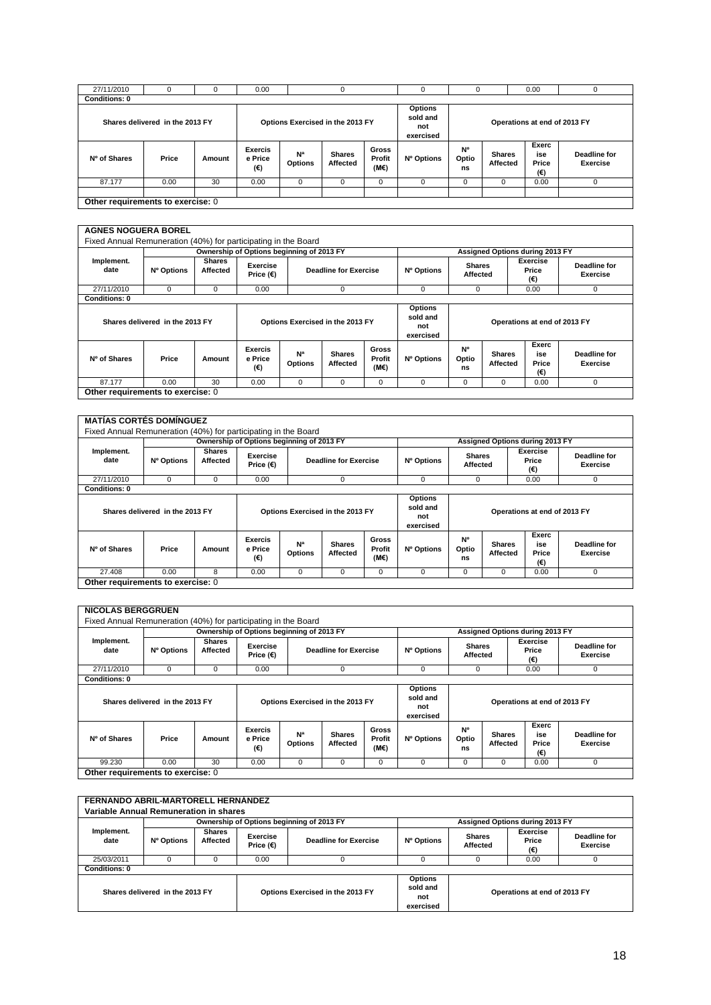| 27/11/2010                        |                                 |        | 0.00                             |                                  |                           |                                |                                                |                   |                           | 0.00                         |                                 |
|-----------------------------------|---------------------------------|--------|----------------------------------|----------------------------------|---------------------------|--------------------------------|------------------------------------------------|-------------------|---------------------------|------------------------------|---------------------------------|
| <b>Conditions: 0</b>              |                                 |        |                                  |                                  |                           |                                |                                                |                   |                           |                              |                                 |
|                                   | Shares delivered in the 2013 FY |        |                                  | Options Exercised in the 2013 FY |                           |                                | <b>Options</b><br>sold and<br>not<br>exercised |                   |                           | Operations at end of 2013 FY |                                 |
| Nº of Shares                      | Price                           | Amount | <b>Exercis</b><br>e Price<br>(€) | N <sup>a</sup><br><b>Options</b> | <b>Shares</b><br>Affected | <b>Gross</b><br>Profit<br>(M€) | Nº Options                                     | N°<br>Optio<br>ns | <b>Shares</b><br>Affected | Exerc<br>ise<br>Price<br>(€) | Deadline for<br><b>Exercise</b> |
| 87.177                            | 0.00                            | 30     | 0.00                             | 0                                | $\Omega$                  |                                |                                                | $\Omega$          | 0                         | 0.00                         |                                 |
| Other requirements to exercise: 0 |                                 |        |                                  |                                  |                           |                                |                                                |                   |                           |                              |                                 |

#### **AGNES NOGUERA BOREL**

| Fixed Annual Remuneration (40%) for participating in the Board |                                 |                           |                                  |                                           |                              |                                                |                              |                           |                           |                                 |                          |
|----------------------------------------------------------------|---------------------------------|---------------------------|----------------------------------|-------------------------------------------|------------------------------|------------------------------------------------|------------------------------|---------------------------|---------------------------|---------------------------------|--------------------------|
|                                                                |                                 |                           |                                  | Ownership of Options beginning of 2013 FY |                              |                                                |                              |                           |                           | Assigned Options during 2013 FY |                          |
| Implement.<br>date                                             | Nº Options                      | <b>Shares</b><br>Affected | Exercise<br>Price $(\epsilon)$   |                                           | <b>Deadline for Exercise</b> |                                                | Nº Options                   | <b>Shares</b><br>Affected |                           | Exercise<br>Price<br>(€)        | Deadline for<br>Exercise |
| 27/11/2010                                                     | 0                               | 0                         | $\mathbf 0$<br>0.00              |                                           |                              | $\Omega$                                       | 0                            |                           | 0.00                      | 0                               |                          |
| <b>Conditions: 0</b>                                           |                                 |                           |                                  |                                           |                              |                                                |                              |                           |                           |                                 |                          |
|                                                                | Shares delivered in the 2013 FY |                           | Options Exercised in the 2013 FY |                                           |                              | <b>Options</b><br>sold and<br>not<br>exercised | Operations at end of 2013 FY |                           |                           |                                 |                          |
| Nº of Shares                                                   | Price                           | Amount                    | <b>Exercis</b><br>e Price<br>(€) | N <sup>a</sup><br><b>Options</b>          | <b>Shares</b><br>Affected    | Gross<br>Profit<br>(M€)                        | Nº Options                   | N°<br>Optio<br>ns         | <b>Shares</b><br>Affected | Exerc<br>ise<br>Price<br>(€)    | Deadline for<br>Exercise |
| 87.177                                                         | 0.00                            | 30                        | 0.00                             | 0                                         | $\mathbf 0$                  | 0                                              | $\Omega$                     | 0                         | 0                         | 0.00                            | 0                        |
| Other requirements to exercise: 0                              |                                 |                           |                                  |                                           |                              |                                                |                              |                           |                           |                                 |                          |

| <b>MATÍAS CORTÉS DOMÍNGUEZ</b>                                 |                                 |                           |                                           |                                  |                              |                                |                                                |                              |                                 |                                 |                                 |
|----------------------------------------------------------------|---------------------------------|---------------------------|-------------------------------------------|----------------------------------|------------------------------|--------------------------------|------------------------------------------------|------------------------------|---------------------------------|---------------------------------|---------------------------------|
| Fixed Annual Remuneration (40%) for participating in the Board |                                 |                           |                                           |                                  |                              |                                |                                                |                              |                                 |                                 |                                 |
|                                                                |                                 |                           | Ownership of Options beginning of 2013 FY |                                  |                              |                                |                                                |                              | Assigned Options during 2013 FY |                                 |                                 |
| Implement.<br>date                                             | Nº Options                      | <b>Shares</b><br>Affected | Exercise<br>Price $(E)$                   |                                  | <b>Deadline for Exercise</b> |                                | Nº Options                                     | <b>Shares</b><br>Affected    |                                 | <b>Exercise</b><br>Price<br>(€) | Deadline for<br><b>Exercise</b> |
| 27/11/2010                                                     | 0                               | 0                         | 0.00                                      |                                  | $\Omega$                     |                                | $\Omega$                                       | 0                            |                                 | 0.00                            | 0                               |
| <b>Conditions: 0</b>                                           |                                 |                           |                                           |                                  |                              |                                |                                                |                              |                                 |                                 |                                 |
|                                                                | Shares delivered in the 2013 FY |                           | Options Exercised in the 2013 FY          |                                  |                              |                                | <b>Options</b><br>sold and<br>not<br>exercised | Operations at end of 2013 FY |                                 |                                 |                                 |
| Nº of Shares                                                   | Price                           | Amount                    | <b>Exercis</b><br>e Price<br>(€)          | N <sup>a</sup><br><b>Options</b> | <b>Shares</b><br>Affected    | <b>Gross</b><br>Profit<br>(M€) | Nº Options                                     | N°<br>Optio<br>ns            | <b>Shares</b><br>Affected       | Exerc<br>ise<br>Price<br>(€)    | Deadline for<br>Exercise        |
| 27.408                                                         | 0.00                            | 8                         | 0.00                                      | 0                                | 0                            | 0                              | $\Omega$                                       | 0                            | 0                               | 0.00                            | 0                               |
| Other requirements to exercise: 0                              |                                 |                           |                                           |                                  |                              |                                |                                                |                              |                                 |                                 |                                 |

|                      |                                 |                           |                                  | Ownership of Options beginning of 2013 FY |                              |                                | Assigned Options during 2013 FY                |                           |                           |                              |                                 |
|----------------------|---------------------------------|---------------------------|----------------------------------|-------------------------------------------|------------------------------|--------------------------------|------------------------------------------------|---------------------------|---------------------------|------------------------------|---------------------------------|
| Implement.<br>date   | Nº Options                      | <b>Shares</b><br>Affected | <b>Exercise</b><br>Price $(E)$   |                                           | <b>Deadline for Exercise</b> |                                |                                                | <b>Shares</b><br>Affected |                           | Exercise<br>Price<br>(€)     | Deadline for<br><b>Exercise</b> |
| 27/11/2010           | $\Omega$                        | $\Omega$                  | 0.00                             |                                           | $\Omega$                     |                                | 0                                              | 0                         |                           | 0.00                         | $\mathbf{0}$                    |
| <b>Conditions: 0</b> |                                 |                           |                                  |                                           |                              |                                |                                                |                           |                           |                              |                                 |
|                      | Shares delivered in the 2013 FY |                           |                                  | Options Exercised in the 2013 FY          |                              |                                | <b>Options</b><br>sold and<br>not<br>exercised |                           |                           | Operations at end of 2013 FY |                                 |
| Nº of Shares         | Price                           | Amount                    | <b>Exercis</b><br>e Price<br>(€) | N <sup>a</sup><br><b>Options</b>          | <b>Shares</b><br>Affected    | <b>Gross</b><br>Profit<br>(ME) | Nº Options                                     | N°<br>Optio<br>ns         | <b>Shares</b><br>Affected | Exerc<br>ise<br>Price<br>(€) | Deadline for<br>Exercise        |
|                      |                                 |                           |                                  |                                           |                              |                                |                                                |                           |                           |                              |                                 |

| FERNANDO ABRIL-MARTORELL HERNÁNDEZ     |                                           |                           |                                  |                                                                                |            |                           |                                 |                          |  |  |  |  |
|----------------------------------------|-------------------------------------------|---------------------------|----------------------------------|--------------------------------------------------------------------------------|------------|---------------------------|---------------------------------|--------------------------|--|--|--|--|
| Variable Annual Remuneration in shares |                                           |                           |                                  |                                                                                |            |                           |                                 |                          |  |  |  |  |
|                                        | Ownership of Options beginning of 2013 FY |                           |                                  |                                                                                |            |                           | Assigned Options during 2013 FY |                          |  |  |  |  |
| Implement.<br>date                     | Nº Options                                | <b>Shares</b><br>Affected | Exercise<br>Price $(\epsilon)$   | <b>Deadline for Exercise</b>                                                   | Nº Options | <b>Shares</b><br>Affected | Exercise<br>Price<br>(€)        | Deadline for<br>Exercise |  |  |  |  |
| 25/03/2011                             |                                           |                           | 0.00                             |                                                                                |            |                           | 0.00                            |                          |  |  |  |  |
| <b>Conditions: 0</b>                   |                                           |                           |                                  |                                                                                |            |                           |                                 |                          |  |  |  |  |
| Shares delivered in the 2013 FY        |                                           |                           | Options Exercised in the 2013 FY | <b>Options</b><br>sold and<br>Operations at end of 2013 FY<br>not<br>exercised |            |                           |                                 |                          |  |  |  |  |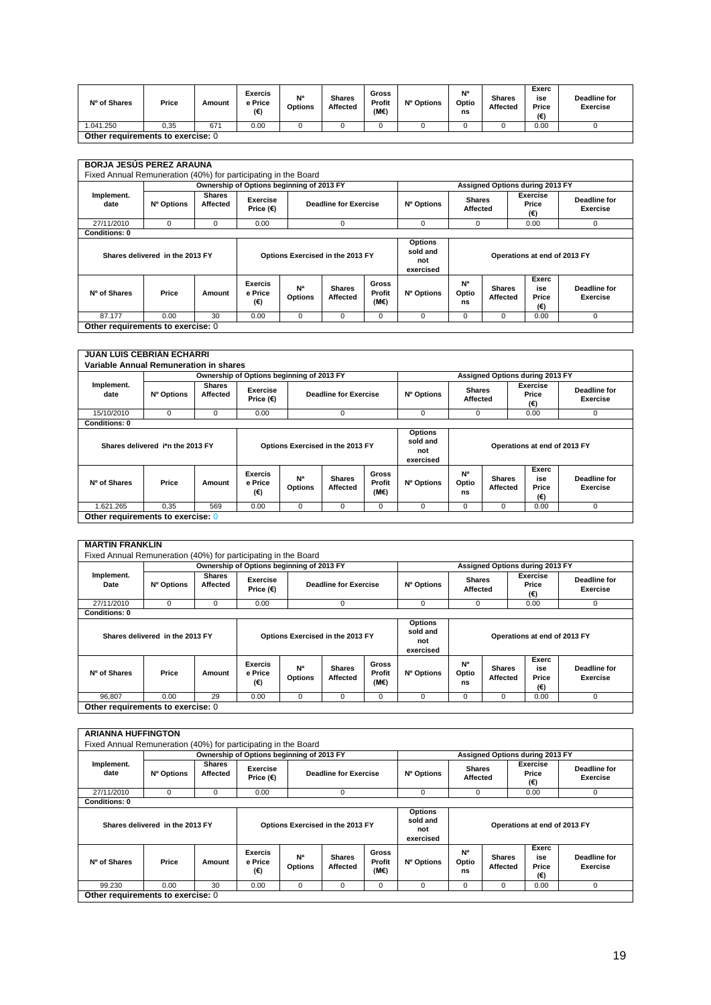| Nº of Shares                      | Price | Amount | <b>Exercis</b><br>e Price<br>(€) | Na<br><b>Options</b> | <b>Shares</b><br>Affected | Gross<br>Profit<br>$(M \in )$ | Nº Options | N°<br>Optio<br>ns | <b>Shares</b><br>Affected | Exerc<br>ise<br>Price<br>(€) | Deadline for<br><b>Exercise</b> |
|-----------------------------------|-------|--------|----------------------------------|----------------------|---------------------------|-------------------------------|------------|-------------------|---------------------------|------------------------------|---------------------------------|
| 1.041.250                         | 0,35  | 67     | 0.00                             |                      |                           |                               |            |                   |                           | 0.00                         |                                 |
| Other requirements to exercise: 0 |       |        |                                  |                      |                           |                               |            |                   |                           |                              |                                 |

|                    |                                 |                           |                                  | Ownership of Options beginning of 2013 FY |                                  |                         | Assigned Options during 2013 FY                |                           |                           |                              |                                 |
|--------------------|---------------------------------|---------------------------|----------------------------------|-------------------------------------------|----------------------------------|-------------------------|------------------------------------------------|---------------------------|---------------------------|------------------------------|---------------------------------|
| Implement.<br>date | Nº Options                      | <b>Shares</b><br>Affected | Exercise<br>Price $(\epsilon)$   |                                           | <b>Deadline for Exercise</b>     |                         |                                                | <b>Shares</b><br>Affected |                           | Exercise<br>Price<br>(€)     | Deadline for<br><b>Exercise</b> |
| 27/11/2010         | 0                               | $\Omega$                  | 0.00                             |                                           | 0                                |                         | 0                                              | 0                         |                           | 0.00                         | 0                               |
| Conditions: 0      |                                 |                           |                                  |                                           |                                  |                         |                                                |                           |                           |                              |                                 |
|                    | Shares delivered in the 2013 FY |                           |                                  |                                           | Options Exercised in the 2013 FY |                         | <b>Options</b><br>sold and<br>not<br>exercised |                           |                           | Operations at end of 2013 FY |                                 |
| Nº of Shares       | Price                           | Amount                    | <b>Exercis</b><br>e Price<br>(€) | N <sup>a</sup><br><b>Options</b>          | <b>Shares</b><br>Affected        | Gross<br>Profit<br>(M€) | Nº Options                                     | <b>N°</b><br>Optio<br>ns  | <b>Shares</b><br>Affected | Exerc<br>ise<br>Price<br>(€) | Deadline for<br>Exercise        |
| 87.177             | 0.00                            | 30                        | 0.00                             | $\Omega$                                  | $\Omega$                         | $\Omega$                | $\Omega$                                       | $\Omega$                  | $\Omega$                  | 0.00                         | $\Omega$                        |

**JUAN LUIS CEBRIÁN ECHARRI Variable Annual Remuneration in shares Implement. date Ownership of Options beginning of 2013 FY Assigned Options during 2013 FY Nº Options Shares Exercise**<br>Price (€) **Price (Figure )** Deadline for Exercise **Nº Options Shares Affected Exercise Price (€) Deadline for Exercise** 15/10/2010 0 0 0.00 0.00 0 0.00 0 0.00 0 0.00 0 0.00 0 0.00 0 0.00 0 0 **Conditions: 0 Shares delivered i\*n the 2013 FY Options Exercised in the 2013 FY Options sold and not exercised Operations at end of 2013 FY Nº of Shares Price Amount Exercis e Price (€) Nª Options Shares Affected Gross Profit (M€) Nº Options Nº Optio ns Shares Affected Exerc ise Price (€) Deadline for Exercise** 1.621.265 | 0,35 | 569 | 0.00 | 0 | 0 | 0 | 0 | 0 | 0 | 0 | 0.00 | 0 **Other requirements to exercise:** 0

|                                   | Fixed Annual Remuneration (40%) for participating in the Board |                           | Ownership of Options beginning of 2013 FY |                                  |                           |                         | Assigned Options during 2013 FY                |                           |                           |                                 |                          |  |
|-----------------------------------|----------------------------------------------------------------|---------------------------|-------------------------------------------|----------------------------------|---------------------------|-------------------------|------------------------------------------------|---------------------------|---------------------------|---------------------------------|--------------------------|--|
| Implement.<br>Date                | Nº Options                                                     | <b>Shares</b><br>Affected | <b>Exercise</b><br>Price $(E)$            | <b>Deadline for Exercise</b>     |                           |                         | Nº Options                                     | <b>Shares</b><br>Affected |                           | <b>Exercise</b><br>Price<br>(€) | Deadline for<br>Exercise |  |
| 27/11/2010                        | 0                                                              | $\mathbf 0$               | 0.00                                      |                                  | $\Omega$                  |                         | 0                                              | 0                         |                           | 0.00                            | 0                        |  |
| <b>Conditions: 0</b>              |                                                                |                           |                                           |                                  |                           |                         |                                                |                           |                           |                                 |                          |  |
|                                   | Shares delivered in the 2013 FY                                |                           | Options Exercised in the 2013 FY          |                                  |                           |                         | <b>Options</b><br>sold and<br>not<br>exercised |                           |                           | Operations at end of 2013 FY    |                          |  |
| Nº of Shares                      | Price                                                          | Amount                    | <b>Exercis</b><br>e Price<br>(€)          | N <sup>a</sup><br><b>Options</b> | <b>Shares</b><br>Affected | Gross<br>Profit<br>(M€) | Nº Options                                     | <b>N°</b><br>Optio<br>ns  | <b>Shares</b><br>Affected | Exerc<br>ise<br>Price<br>(€)    | Deadline for<br>Exercise |  |
| 96,807                            | 0.00                                                           | 29                        | 0.00                                      | 0                                | $\Omega$                  | 0                       | 0                                              | 0                         | 0                         | 0.00                            | 0                        |  |
| Other requirements to exercise: 0 |                                                                |                           |                                           |                                  |                           |                         |                                                |                           |                           |                                 |                          |  |

|                      |                                 |                           | Ownership of Options beginning of 2013 FY |                                  |                              |                                | Assigned Options during 2013 FY                |                           |                           |                              |                                 |
|----------------------|---------------------------------|---------------------------|-------------------------------------------|----------------------------------|------------------------------|--------------------------------|------------------------------------------------|---------------------------|---------------------------|------------------------------|---------------------------------|
| Implement.<br>date   | Nº Options                      | <b>Shares</b><br>Affected | Exercise<br>Price $(E)$                   |                                  | <b>Deadline for Exercise</b> |                                |                                                | <b>Shares</b><br>Affected |                           | Exercise<br>Price<br>(€)     | Deadline for<br><b>Exercise</b> |
| 27/11/2010           | $\Omega$                        | $\Omega$                  | 0.00                                      |                                  | $\Omega$                     |                                | $\Omega$                                       | $\Omega$                  |                           | 0.00                         | $\mathbf 0$                     |
| <b>Conditions: 0</b> |                                 |                           |                                           |                                  |                              |                                |                                                |                           |                           |                              |                                 |
|                      | Shares delivered in the 2013 FY |                           |                                           | Options Exercised in the 2013 FY |                              |                                | <b>Options</b><br>sold and<br>not<br>exercised |                           |                           | Operations at end of 2013 FY |                                 |
| Nº of Shares         | Price                           | Amount                    | <b>Exercis</b><br>e Price<br>(€)          | N <sup>a</sup><br><b>Options</b> | <b>Shares</b><br>Affected    | <b>Gross</b><br>Profit<br>(M€) | Nº Options                                     | N°<br>Optio<br>ns         | <b>Shares</b><br>Affected | Exerc<br>ise<br>Price<br>(€) | Deadline for<br>Exercise        |
| 99.230               | 0.00                            | 30                        | 0.00                                      | 0                                | 0                            | 0                              | $\Omega$                                       | 0                         | 0                         | 0.00                         | 0                               |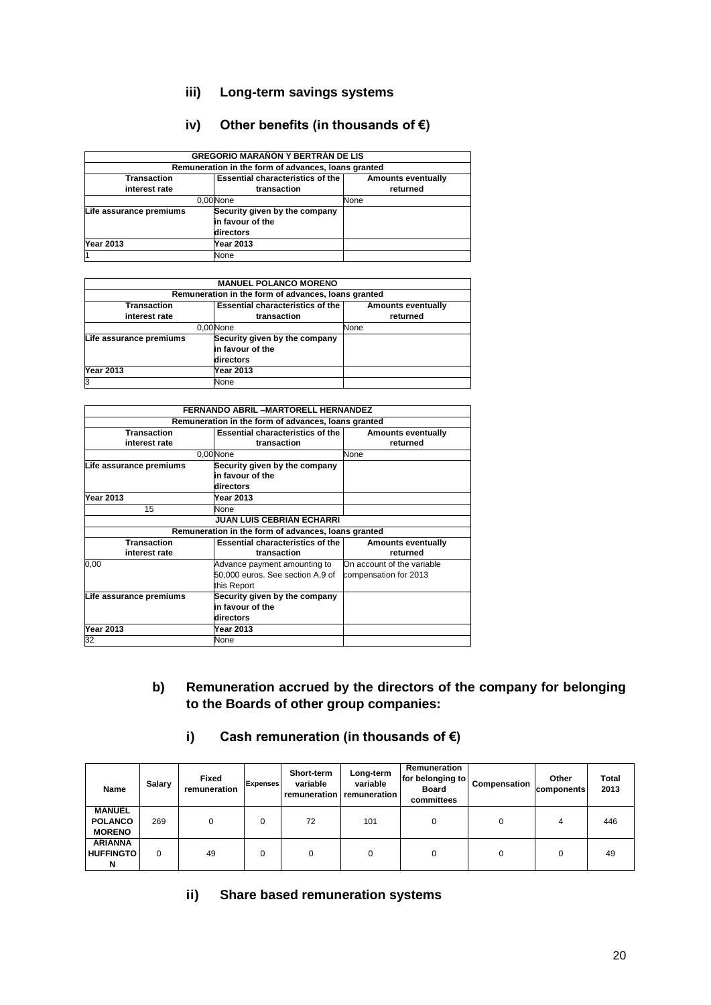# **iii) Long-term savings systems**

## **iv) Other benefits (in thousands of €)**

| <b>GREGORIO MARAÑÓN Y BERTRÁN DE LIS</b> |                                                     |                           |  |  |  |  |  |  |
|------------------------------------------|-----------------------------------------------------|---------------------------|--|--|--|--|--|--|
|                                          | Remuneration in the form of advances, loans granted |                           |  |  |  |  |  |  |
| <b>Transaction</b>                       | <b>Essential characteristics of the</b>             | <b>Amounts eventually</b> |  |  |  |  |  |  |
| interest rate                            | transaction                                         | returned                  |  |  |  |  |  |  |
| 0.00 None                                | None                                                |                           |  |  |  |  |  |  |
| Life assurance premiums                  | Security given by the company                       |                           |  |  |  |  |  |  |
|                                          | in favour of the                                    |                           |  |  |  |  |  |  |
|                                          | directors                                           |                           |  |  |  |  |  |  |
| <b>Year 2013</b>                         | Year 2013                                           |                           |  |  |  |  |  |  |
|                                          | None                                                |                           |  |  |  |  |  |  |

|                                                     | <b>MANUEL POLANCO MORENO</b>            |                           |  |  |  |  |  |  |  |
|-----------------------------------------------------|-----------------------------------------|---------------------------|--|--|--|--|--|--|--|
| Remuneration in the form of advances, loans granted |                                         |                           |  |  |  |  |  |  |  |
| <b>Transaction</b>                                  | <b>Essential characteristics of the</b> | <b>Amounts eventually</b> |  |  |  |  |  |  |  |
| interest rate                                       | transaction                             | returned                  |  |  |  |  |  |  |  |
|                                                     | 0.00 None                               | None                      |  |  |  |  |  |  |  |
| Life assurance premiums                             | Security given by the company           |                           |  |  |  |  |  |  |  |
|                                                     | in favour of the                        |                           |  |  |  |  |  |  |  |
|                                                     | directors                               |                           |  |  |  |  |  |  |  |
| <b>Year 2013</b>                                    | Year 2013                               |                           |  |  |  |  |  |  |  |
| 3                                                   | None                                    |                           |  |  |  |  |  |  |  |

|                         | FERNANDO ABRIL -MARTORELL HERNANDEZ                 |                            |
|-------------------------|-----------------------------------------------------|----------------------------|
|                         | Remuneration in the form of advances, loans granted |                            |
| <b>Transaction</b>      |                                                     |                            |
|                         | <b>Essential characteristics of the</b>             | Amounts eventually         |
| interest rate           | transaction                                         | returned                   |
|                         | 0.00 None                                           | None                       |
| Life assurance premiums | Security given by the company                       |                            |
|                         | in favour of the                                    |                            |
|                         | directors                                           |                            |
| <b>Year 2013</b>        | Year 2013                                           |                            |
| 15                      | None                                                |                            |
|                         | <b>JUAN LUIS CEBRIAN ECHARRI</b>                    |                            |
|                         | Remuneration in the form of advances, loans granted |                            |
| <b>Transaction</b>      | <b>Essential characteristics of the</b>             | Amounts eventually         |
| interest rate           | transaction                                         | returned                   |
| 0,00                    | Advance payment amounting to                        | On account of the variable |
|                         | 50,000 euros. See section A.9 of                    | compensation for 2013      |
|                         | this Report                                         |                            |
| Life assurance premiums | Security given by the company                       |                            |
|                         | in favour of the                                    |                            |
|                         | directors                                           |                            |
| <b>Year 2013</b>        | Year 2013                                           |                            |
| 32                      | None                                                |                            |

| b) | Remuneration accrued by the directors of the company for belonging |
|----|--------------------------------------------------------------------|
|    | to the Boards of other group companies:                            |

# **i) Cash remuneration (in thousands of €)**

| <b>Name</b>                                      | Salary | <b>Fixed</b><br>remuneration | <b>Expenses</b> | Short-term<br>variable<br>remuneration | Long-term<br>variable<br>remuneration | Remuneration<br>for belonging to<br><b>Board</b><br>committees | Compensation | Other<br>components | Total<br>2013 |
|--------------------------------------------------|--------|------------------------------|-----------------|----------------------------------------|---------------------------------------|----------------------------------------------------------------|--------------|---------------------|---------------|
| <b>MANUEL</b><br><b>POLANCO</b><br><b>MORENO</b> | 269    | 0                            | 0               | 72                                     | 101                                   |                                                                |              | 4                   | 446           |
| <b>ARIANNA</b><br><b>HUFFINGTO</b><br>N          | 0      | 49                           | 0               | 0                                      |                                       |                                                                | 0            |                     | 49            |

**ii) Share based remuneration systems**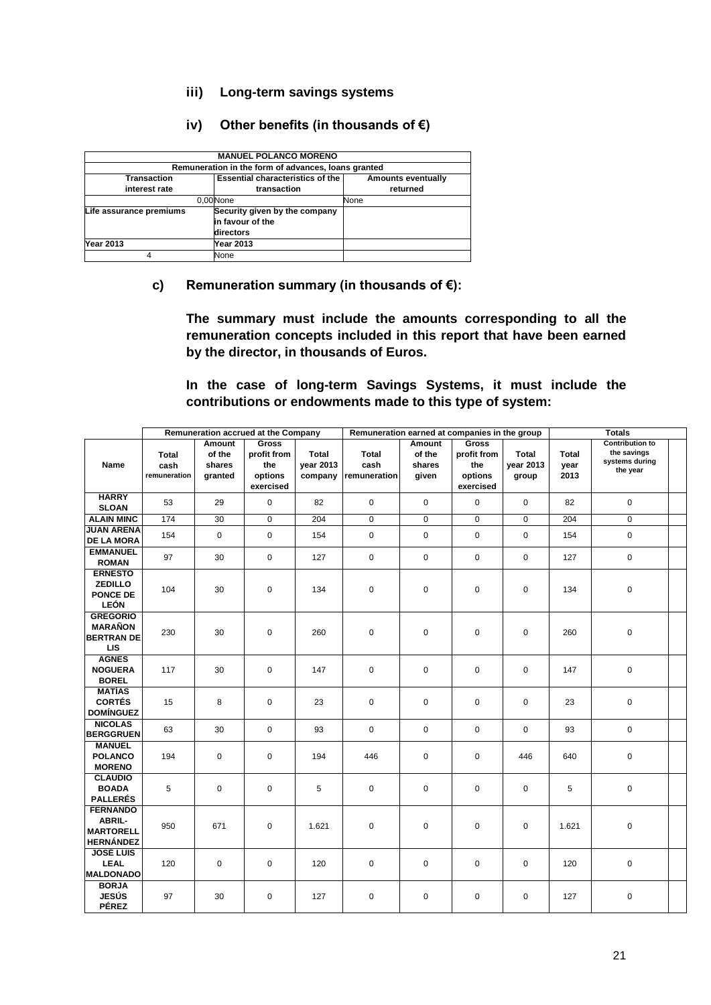### **iii) Long-term savings systems**

## **iv) Other benefits (in thousands of €)**

| <b>MANUEL POLANCO MORENO</b>                        |                                         |                           |  |  |  |  |  |
|-----------------------------------------------------|-----------------------------------------|---------------------------|--|--|--|--|--|
| Remuneration in the form of advances, loans granted |                                         |                           |  |  |  |  |  |
| Transaction                                         | <b>Essential characteristics of the</b> | <b>Amounts eventually</b> |  |  |  |  |  |
| interest rate                                       | transaction                             | returned                  |  |  |  |  |  |
|                                                     | 0.00 None                               | None                      |  |  |  |  |  |
| Life assurance premiums                             | Security given by the company           |                           |  |  |  |  |  |
|                                                     | in favour of the                        |                           |  |  |  |  |  |
|                                                     | directors                               |                           |  |  |  |  |  |
| <b>Year 2013</b>                                    | <b>Year 2013</b>                        |                           |  |  |  |  |  |
|                                                     | None                                    |                           |  |  |  |  |  |

### **c) Remuneration summary (in thousands of €):**

**The summary must include the amounts corresponding to all the remuneration concepts included in this report that have been earned by the director, in thousands of Euros.**

**In the case of long-term Savings Systems, it must include the contributions or endowments made to this type of system:**

|                                        | Remuneration accrued at the Company |             |                      | Remuneration earned at companies in the group |              | <b>Totals</b> |                      |             |              |                               |  |
|----------------------------------------|-------------------------------------|-------------|----------------------|-----------------------------------------------|--------------|---------------|----------------------|-------------|--------------|-------------------------------|--|
|                                        |                                     | Amount      | <b>Gross</b>         |                                               |              | Amount        | <b>Gross</b>         |             |              | <b>Contribution to</b>        |  |
|                                        | <b>Total</b>                        | of the      | profit from          | <b>Total</b>                                  | <b>Total</b> | of the        | profit from          | Total       | <b>Total</b> | the savings<br>systems during |  |
| <b>Name</b>                            | cash                                | shares      | the                  | year 2013                                     | cash         | shares        | the                  | year 2013   | year         | the year                      |  |
|                                        | remuneration                        | granted     | options<br>exercised | company                                       | remuneration | given         | options<br>exercised | group       | 2013         |                               |  |
| <b>HARRY</b>                           | 53                                  | 29          | 0                    | 82                                            | $\mathbf 0$  | $\mathbf 0$   | $\mathbf 0$          | 0           | 82           | $\mathbf 0$                   |  |
| <b>SLOAN</b>                           |                                     |             |                      |                                               |              |               |                      |             |              |                               |  |
| <b>ALAIN MINC</b>                      | 174                                 | 30          | 0                    | 204                                           | $\mathbf 0$  | $\pmb{0}$     | $\mathbf 0$          | 0           | 204          | $\mathbf 0$                   |  |
| <b>JUAN ARENA</b><br><b>DE LA MORA</b> | 154                                 | 0           | 0                    | 154                                           | $\pmb{0}$    | $\pmb{0}$     | $\mathbf 0$          | $\mathbf 0$ | 154          | $\mathbf 0$                   |  |
| <b>EMMANUEL</b>                        |                                     |             |                      |                                               |              |               |                      |             |              |                               |  |
| <b>ROMAN</b>                           | 97                                  | 30          | 0                    | 127                                           | $\mathbf 0$  | $\mathbf 0$   | $\mathbf 0$          | 0           | 127          | $\mathbf 0$                   |  |
| <b>ERNESTO</b>                         |                                     |             |                      |                                               |              |               |                      |             |              |                               |  |
| <b>ZEDILLO</b>                         | 104                                 | 30          | $\mathbf 0$          | 134                                           | $\mathbf 0$  | $\mathbf 0$   | $\mathbf 0$          | $\Omega$    | 134          | $\mathbf 0$                   |  |
| PONCE DE<br><b>LEÓN</b>                |                                     |             |                      |                                               |              |               |                      |             |              |                               |  |
| <b>GREGORIO</b>                        |                                     |             |                      |                                               |              |               |                      |             |              |                               |  |
| <b>MARAÑON</b>                         | 230                                 | 30          | 0                    | 260                                           | $\pmb{0}$    | $\pmb{0}$     | $\mathbf 0$          | 0           | 260          | $\mathbf 0$                   |  |
| <b>BERTRAN DE</b>                      |                                     |             |                      |                                               |              |               |                      |             |              |                               |  |
| <b>LIS</b><br><b>AGNES</b>             |                                     |             |                      |                                               |              |               |                      |             |              |                               |  |
| <b>NOGUERA</b>                         | 117                                 | 30          | 0                    | 147                                           | $\pmb{0}$    | $\pmb{0}$     | $\mathbf 0$          | 0           | 147          | $\mathbf 0$                   |  |
| <b>BOREL</b>                           |                                     |             |                      |                                               |              |               |                      |             |              |                               |  |
| <b>MATÍAS</b>                          |                                     |             |                      |                                               |              |               |                      |             |              |                               |  |
| <b>CORTÉS</b>                          | 15                                  | 8           | 0                    | 23                                            | $\pmb{0}$    | $\pmb{0}$     | $\mathbf 0$          | 0           | 23           | $\mathbf 0$                   |  |
| <b>DOMÍNGUEZ</b><br><b>NICOLAS</b>     |                                     |             |                      |                                               |              |               |                      |             |              |                               |  |
| <b>BERGGRUEN</b>                       | 63                                  | 30          | 0                    | 93                                            | $\mathbf 0$  | 0             | $\mathbf 0$          | 0           | 93           | $\mathbf 0$                   |  |
| <b>MANUEL</b>                          |                                     |             |                      |                                               |              |               |                      |             |              |                               |  |
| <b>POLANCO</b>                         | 194                                 | $\mathbf 0$ | $\mathbf 0$          | 194                                           | 446          | $\mathbf 0$   | $\mathbf 0$          | 446         | 640          | $\mathbf 0$                   |  |
| <b>MORENO</b><br><b>CLAUDIO</b>        |                                     |             |                      |                                               |              |               |                      |             |              |                               |  |
| <b>BOADA</b>                           | 5                                   | $\mathbf 0$ | $\mathbf 0$          | 5                                             | $\mathbf 0$  | $\mathbf 0$   | $\mathbf 0$          | 0           | 5            | $\mathbf 0$                   |  |
| <b>PALLERÉS</b>                        |                                     |             |                      |                                               |              |               |                      |             |              |                               |  |
| <b>FERNANDO</b>                        |                                     |             |                      |                                               |              |               |                      |             |              |                               |  |
| <b>ABRIL-</b>                          | 950                                 | 671         | 0                    | 1.621                                         | $\pmb{0}$    | $\pmb{0}$     | $\mathbf 0$          | 0           | 1.621        | $\mathbf 0$                   |  |
| <b>MARTORELL</b><br><b>HERNÁNDEZ</b>   |                                     |             |                      |                                               |              |               |                      |             |              |                               |  |
| <b>JOSÉ LUIS</b>                       |                                     |             |                      |                                               |              |               |                      |             |              |                               |  |
| <b>LEAL</b>                            | 120                                 | $\mathbf 0$ | $\mathbf 0$          | 120                                           | $\pmb{0}$    | $\mathsf 0$   | $\mathbf 0$          | $\mathbf 0$ | 120          | $\mathbf 0$                   |  |
| <b>MALDONADO</b>                       |                                     |             |                      |                                               |              |               |                      |             |              |                               |  |
| <b>BORJA</b><br>JESÚS                  | 97                                  | 30          | 0                    | 127                                           | $\pmb{0}$    | 0             | $\mathbf 0$          | 0           | 127          | $\mathbf 0$                   |  |
| PÉREZ                                  |                                     |             |                      |                                               |              |               |                      |             |              |                               |  |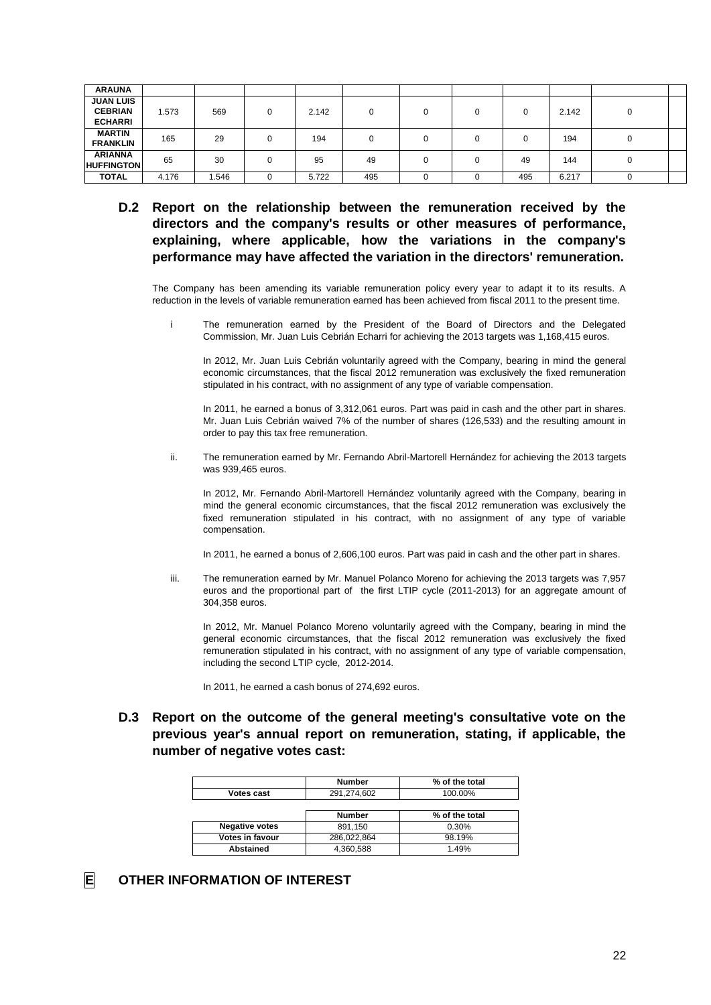| <b>ARAUNA</b>     |       |       |          |       |          |   |     |       |  |
|-------------------|-------|-------|----------|-------|----------|---|-----|-------|--|
| <b>JUAN LUIS</b>  |       |       |          |       |          |   |     |       |  |
| <b>CEBRIAN</b>    | .573  | 569   | $\Omega$ | 2.142 | $\Omega$ | u |     | 2.142 |  |
| <b>ECHARRI</b>    |       |       |          |       |          |   |     |       |  |
| <b>MARTIN</b>     | 165   | 29    |          | 194   | 0        |   |     | 194   |  |
| <b>FRANKLIN</b>   |       |       |          |       |          | ν |     |       |  |
| <b>ARIANNA</b>    | 65    | 30    |          | 95    | 49       |   | 49  | 144   |  |
| <b>HUFFINGTON</b> |       |       |          |       |          | u |     |       |  |
| <b>TOTAL</b>      | 4.176 | 1.546 | u        | 5.722 | 495      |   | 495 | 6.217 |  |

**D.2 Report on the relationship between the remuneration received by the directors and the company's results or other measures of performance, explaining, where applicable, how the variations in the company's performance may have affected the variation in the directors' remuneration.** 

The Company has been amending its variable remuneration policy every year to adapt it to its results. A reduction in the levels of variable remuneration earned has been achieved from fiscal 2011 to the present time.

i The remuneration earned by the President of the Board of Directors and the Delegated Commission, Mr. Juan Luis Cebrián Echarri for achieving the 2013 targets was 1,168,415 euros.

In 2012, Mr. Juan Luis Cebrián voluntarily agreed with the Company, bearing in mind the general economic circumstances, that the fiscal 2012 remuneration was exclusively the fixed remuneration stipulated in his contract, with no assignment of any type of variable compensation.

In 2011, he earned a bonus of 3,312,061 euros. Part was paid in cash and the other part in shares. Mr. Juan Luis Cebrián waived 7% of the number of shares (126,533) and the resulting amount in order to pay this tax free remuneration.

ii. The remuneration earned by Mr. Fernando Abril-Martorell Hernández for achieving the 2013 targets was 939,465 euros.

In 2012, Mr. Fernando Abril-Martorell Hernández voluntarily agreed with the Company, bearing in mind the general economic circumstances, that the fiscal 2012 remuneration was exclusively the fixed remuneration stipulated in his contract, with no assignment of any type of variable compensation.

In 2011, he earned a bonus of 2,606,100 euros. Part was paid in cash and the other part in shares.

iii. The remuneration earned by Mr. Manuel Polanco Moreno for achieving the 2013 targets was 7,957 euros and the proportional part of the first LTIP cycle (2011-2013) for an aggregate amount of 304,358 euros.

In 2012, Mr. Manuel Polanco Moreno voluntarily agreed with the Company, bearing in mind the general economic circumstances, that the fiscal 2012 remuneration was exclusively the fixed remuneration stipulated in his contract, with no assignment of any type of variable compensation, including the second LTIP cycle, 2012-2014.

In 2011, he earned a cash bonus of 274,692 euros.

**D.3 Report on the outcome of the general meeting's consultative vote on the previous year's annual report on remuneration, stating, if applicable, the number of negative votes cast:** 

|                       | <b>Number</b> | % of the total |
|-----------------------|---------------|----------------|
| Votes cast            | 291,274,602   | 100.00%        |
|                       |               |                |
|                       | <b>Number</b> | % of the total |
| <b>Negative votes</b> | 891,150       | 0.30%          |
| Votes in favour       | 286,022,864   | 98.19%         |
| <b>Abstained</b>      | 4,360,588     | 149%           |

**E OTHER INFORMATION OF INTEREST**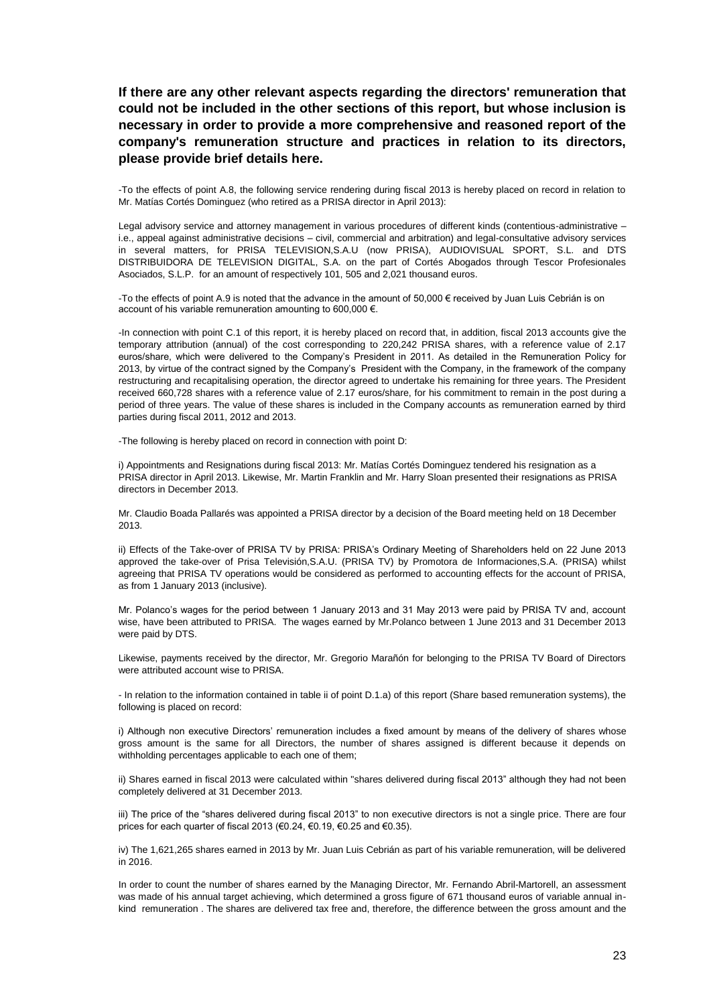**If there are any other relevant aspects regarding the directors' remuneration that could not be included in the other sections of this report, but whose inclusion is necessary in order to provide a more comprehensive and reasoned report of the company's remuneration structure and practices in relation to its directors, please provide brief details here.**

-To the effects of point A.8, the following service rendering during fiscal 2013 is hereby placed on record in relation to Mr. Matías Cortés Dominguez (who retired as a PRISA director in April 2013):

Legal advisory service and attorney management in various procedures of different kinds (contentious-administrative – i.e., appeal against administrative decisions – civil, commercial and arbitration) and legal-consultative advisory services in several matters, for PRISA TELEVISION,S.A.U (now PRISA), AUDIOVISUAL SPORT, S.L. and DTS DISTRIBUIDORA DE TELEVISION DIGITAL, S.A. on the part of Cortés Abogados through Tescor Profesionales Asociados, S.L.P. for an amount of respectively 101, 505 and 2,021 thousand euros.

-To the effects of point A.9 is noted that the advance in the amount of 50,000 € received by Juan Luis Cebrián is on account of his variable remuneration amounting to 600,000 €.

-In connection with point C.1 of this report, it is hereby placed on record that, in addition, fiscal 2013 accounts give the temporary attribution (annual) of the cost corresponding to 220,242 PRISA shares, with a reference value of 2.17 euros/share, which were delivered to the Company's President in 2011. As detailed in the Remuneration Policy for 2013, by virtue of the contract signed by the Company's President with the Company, in the framework of the company restructuring and recapitalising operation, the director agreed to undertake his remaining for three years. The President received 660,728 shares with a reference value of 2.17 euros/share, for his commitment to remain in the post during a period of three years. The value of these shares is included in the Company accounts as remuneration earned by third parties during fiscal 2011, 2012 and 2013.

-The following is hereby placed on record in connection with point D:

i) Appointments and Resignations during fiscal 2013: Mr. Matías Cortés Dominguez tendered his resignation as a PRISA director in April 2013. Likewise, Mr. Martin Franklin and Mr. Harry Sloan presented their resignations as PRISA directors in December 2013.

Mr. Claudio Boada Pallarés was appointed a PRISA director by a decision of the Board meeting held on 18 December 2013.

ii) Effects of the Take-over of PRISA TV by PRISA: PRISA's Ordinary Meeting of Shareholders held on 22 June 2013 approved the take-over of Prisa Televisión,S.A.U. (PRISA TV) by Promotora de Informaciones,S.A. (PRISA) whilst agreeing that PRISA TV operations would be considered as performed to accounting effects for the account of PRISA, as from 1 January 2013 (inclusive).

Mr. Polanco's wages for the period between 1 January 2013 and 31 May 2013 were paid by PRISA TV and, account wise, have been attributed to PRISA. The wages earned by Mr.Polanco between 1 June 2013 and 31 December 2013 were paid by DTS.

Likewise, payments received by the director, Mr. Gregorio Marañón for belonging to the PRISA TV Board of Directors were attributed account wise to PRISA.

- In relation to the information contained in table ii of point D.1.a) of this report (Share based remuneration systems), the following is placed on record:

i) Although non executive Directors' remuneration includes a fixed amount by means of the delivery of shares whose gross amount is the same for all Directors, the number of shares assigned is different because it depends on withholding percentages applicable to each one of them;

ii) Shares earned in fiscal 2013 were calculated within "shares delivered during fiscal 2013" although they had not been completely delivered at 31 December 2013.

iii) The price of the "shares delivered during fiscal 2013" to non executive directors is not a single price. There are four prices for each quarter of fiscal 2013 (€0.24, €0.19, €0.25 and €0.35).

iv) The 1,621,265 shares earned in 2013 by Mr. Juan Luis Cebrián as part of his variable remuneration, will be delivered in 2016.

In order to count the number of shares earned by the Managing Director, Mr. Fernando Abril-Martorell, an assessment was made of his annual target achieving, which determined a gross figure of 671 thousand euros of variable annual inkind remuneration . The shares are delivered tax free and, therefore, the difference between the gross amount and the